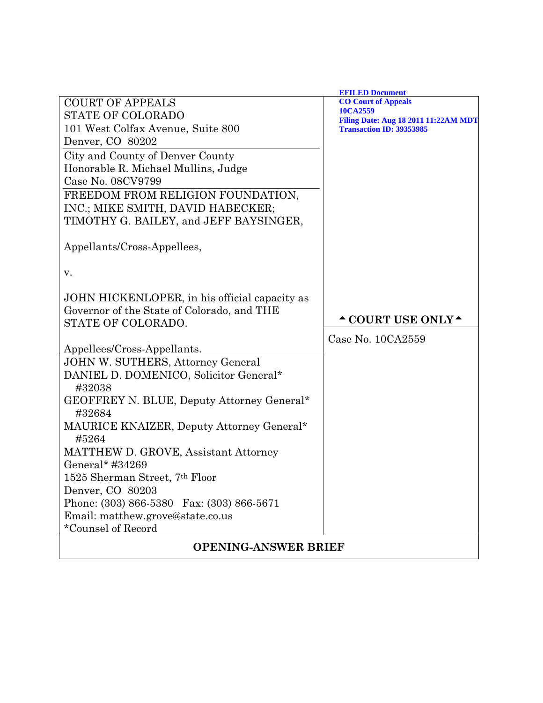|                                               | <b>EFILED Document</b>                                  |
|-----------------------------------------------|---------------------------------------------------------|
| <b>COURT OF APPEALS</b>                       | <b>CO Court of Appeals</b>                              |
| <b>STATE OF COLORADO</b>                      | 10CA2559<br><b>Filing Date: Aug 18 2011 11:22AM MDT</b> |
| 101 West Colfax Avenue, Suite 800             | <b>Transaction ID: 39353985</b>                         |
| Denver, CO 80202                              |                                                         |
| City and County of Denver County              |                                                         |
| Honorable R. Michael Mullins, Judge           |                                                         |
| Case No. 08CV9799                             |                                                         |
| FREEDOM FROM RELIGION FOUNDATION,             |                                                         |
| INC.; MIKE SMITH, DAVID HABECKER;             |                                                         |
| TIMOTHY G. BAILEY, and JEFF BAYSINGER,        |                                                         |
|                                               |                                                         |
| Appellants/Cross-Appellees,                   |                                                         |
|                                               |                                                         |
| v.                                            |                                                         |
|                                               |                                                         |
| JOHN HICKENLOPER, in his official capacity as |                                                         |
| Governor of the State of Colorado, and THE    |                                                         |
| STATE OF COLORADO.                            | $\triangle$ COURT USE ONLY $\triangle$                  |
|                                               | Case No. 10CA2559                                       |
| Appellees/Cross-Appellants.                   |                                                         |
| <b>JOHN W. SUTHERS, Attorney General</b>      |                                                         |
| DANIEL D. DOMENICO, Solicitor General*        |                                                         |
| #32038                                        |                                                         |
| GEOFFREY N. BLUE, Deputy Attorney General*    |                                                         |
| #32684                                        |                                                         |
| MAURICE KNAIZER, Deputy Attorney General*     |                                                         |
| #5264                                         |                                                         |
| MATTHEW D. GROVE, Assistant Attorney          |                                                         |
| General* #34269                               |                                                         |
| 1525 Sherman Street, 7th Floor                |                                                         |
| Denver, CO 80203                              |                                                         |
| Phone: (303) 866-5380 Fax: (303) 866-5671     |                                                         |
| Email: matthew.grove@state.co.us              |                                                         |
| *Counsel of Record                            |                                                         |
|                                               |                                                         |
| <b>OPENING-ANSWER BRIEF</b>                   |                                                         |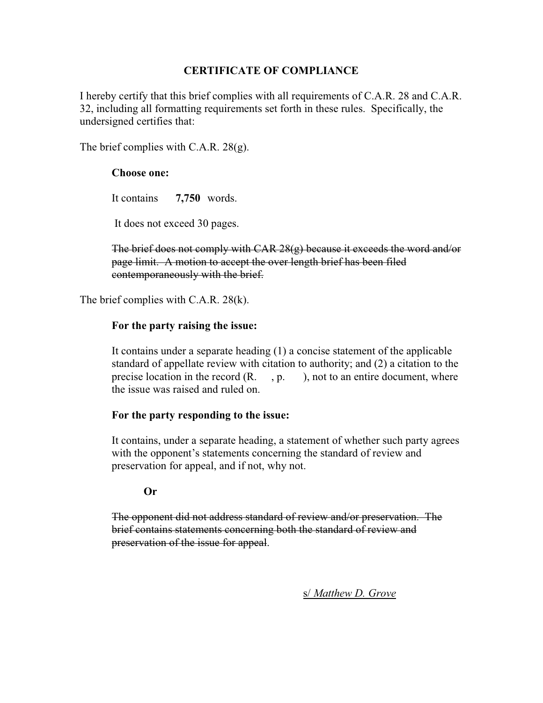#### **CERTIFICATE OF COMPLIANCE**

I hereby certify that this brief complies with all requirements of C.A.R. 28 and C.A.R. 32, including all formatting requirements set forth in these rules. Specifically, the undersigned certifies that:

The brief complies with C.A.R. 28(g).

#### **Choose one:**

It contains **7,750** words.

It does not exceed 30 pages.

The brief does not comply with CAR 28(g) because it exceeds the word and/or page limit. A motion to accept the over length brief has been filed contemporaneously with the brief.

The brief complies with C.A.R. 28(k).

#### **For the party raising the issue:**

It contains under a separate heading (1) a concise statement of the applicable standard of appellate review with citation to authority; and (2) a citation to the precise location in the record  $(R, , p, )$ , not to an entire document, where the issue was raised and ruled on.

#### **For the party responding to the issue:**

It contains, under a separate heading, a statement of whether such party agrees with the opponent's statements concerning the standard of review and preservation for appeal, and if not, why not.

#### **Or**

The opponent did not address standard of review and/or preservation. The brief contains statements concerning both the standard of review and preservation of the issue for appeal.

s/ *Matthew D. Grove*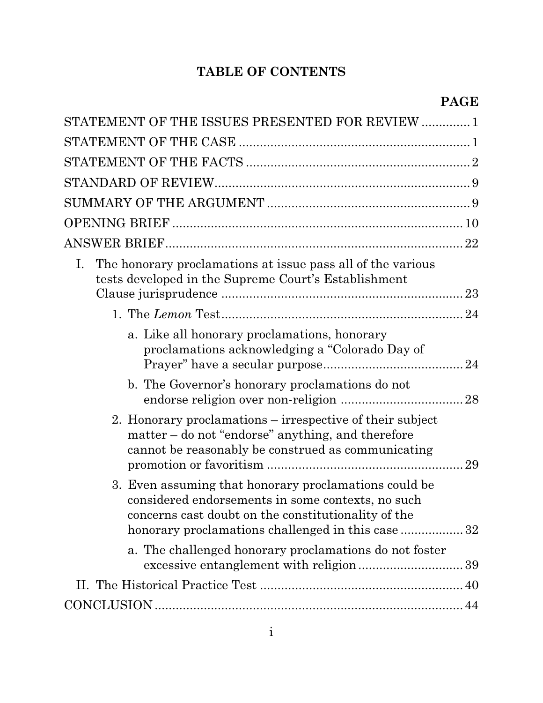# **TABLE OF CONTENTS**

| STATEMENT OF THE ISSUES PRESENTED FOR REVIEW  1                                                                                                                                                                        |  |
|------------------------------------------------------------------------------------------------------------------------------------------------------------------------------------------------------------------------|--|
|                                                                                                                                                                                                                        |  |
|                                                                                                                                                                                                                        |  |
|                                                                                                                                                                                                                        |  |
|                                                                                                                                                                                                                        |  |
|                                                                                                                                                                                                                        |  |
|                                                                                                                                                                                                                        |  |
| The honorary proclamations at issue pass all of the various<br>Ι.<br>tests developed in the Supreme Court's Establishment                                                                                              |  |
|                                                                                                                                                                                                                        |  |
| a. Like all honorary proclamations, honorary<br>proclamations acknowledging a "Colorado Day of                                                                                                                         |  |
| b. The Governor's honorary proclamations do not                                                                                                                                                                        |  |
| 2. Honorary proclamations – irrespective of their subject<br>matter – do not "endorse" anything, and therefore<br>cannot be reasonably be construed as communicating                                                   |  |
| 3. Even assuming that honorary proclamations could be<br>considered endorsements in some contexts, no such<br>concerns cast doubt on the constitutionality of the<br>honorary proclamations challenged in this case 32 |  |
| a. The challenged honorary proclamations do not foster                                                                                                                                                                 |  |
|                                                                                                                                                                                                                        |  |
|                                                                                                                                                                                                                        |  |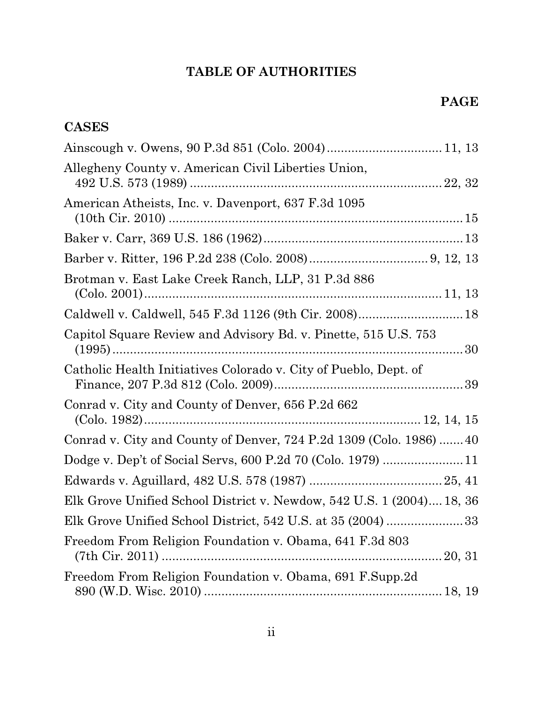# **TABLE OF AUTHORITIES**

## **CASES**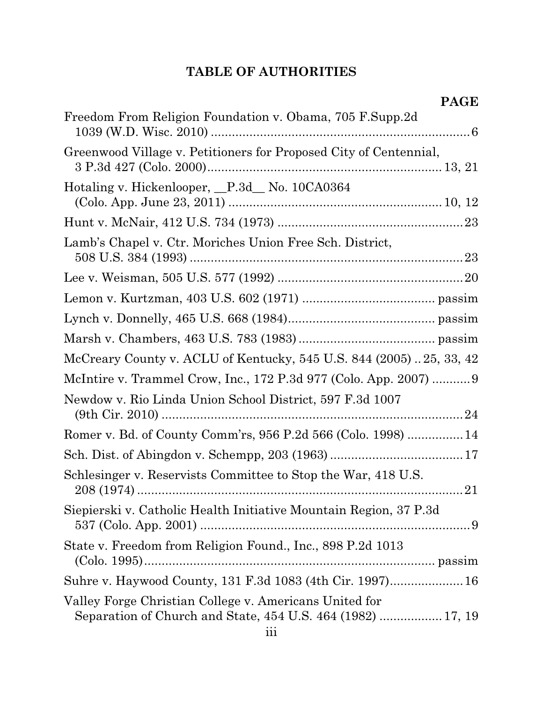# **TABLE OF AUTHORITIES**

| Freedom From Religion Foundation v. Obama, 705 F.Supp.2d                                                              |
|-----------------------------------------------------------------------------------------------------------------------|
| Greenwood Village v. Petitioners for Proposed City of Centennial,                                                     |
| Hotaling v. Hickenlooper, P.3d No. 10CA0364                                                                           |
|                                                                                                                       |
| Lamb's Chapel v. Ctr. Moriches Union Free Sch. District,                                                              |
|                                                                                                                       |
|                                                                                                                       |
|                                                                                                                       |
|                                                                                                                       |
| McCreary County v. ACLU of Kentucky, 545 U.S. 844 (2005)25, 33, 42                                                    |
| McIntire v. Trammel Crow, Inc., 172 P.3d 977 (Colo. App. 2007)  9                                                     |
| Newdow v. Rio Linda Union School District, 597 F.3d 1007                                                              |
| Romer v. Bd. of County Comm'rs, 956 P.2d 566 (Colo. 1998)  14                                                         |
|                                                                                                                       |
| Schlesinger v. Reservists Committee to Stop the War, 418 U.S.                                                         |
| Siepierski v. Catholic Health Initiative Mountain Region, 37 P.3d                                                     |
| State v. Freedom from Religion Found., Inc., 898 P.2d 1013                                                            |
| Suhre v. Haywood County, 131 F.3d 1083 (4th Cir. 1997) 16                                                             |
| Valley Forge Christian College v. Americans United for<br>Separation of Church and State, 454 U.S. 464 (1982)  17, 19 |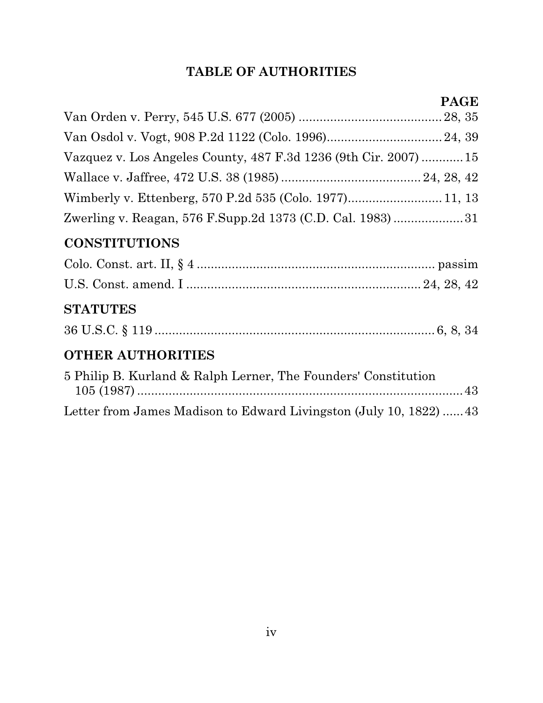# **TABLE OF AUTHORITIES**

| Vazquez v. Los Angeles County, 487 F.3d 1236 (9th Cir. 2007)  15 |  |
|------------------------------------------------------------------|--|
|                                                                  |  |
|                                                                  |  |
| Zwerling v. Reagan, 576 F.Supp.2d 1373 (C.D. Cal. 1983)31        |  |
| <b>CONSTITUTIONS</b>                                             |  |
|                                                                  |  |
|                                                                  |  |

## **STATUTES**

## **OTHER AUTHORITIES**

| 5 Philip B. Kurland & Ralph Lerner, The Founders' Constitution     |  |
|--------------------------------------------------------------------|--|
|                                                                    |  |
| Letter from James Madison to Edward Livingston (July 10, 1822)  43 |  |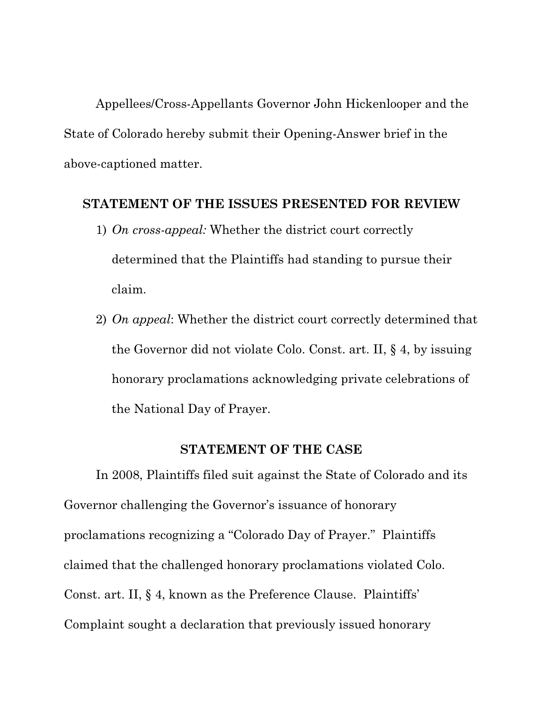Appellees/Cross-Appellants Governor John Hickenlooper and the State of Colorado hereby submit their Opening-Answer brief in the above-captioned matter.

#### **STATEMENT OF THE ISSUES PRESENTED FOR REVIEW**

- 1) *On cross-appeal:* Whether the district court correctly determined that the Plaintiffs had standing to pursue their claim.
- 2) *On appeal*: Whether the district court correctly determined that the Governor did not violate Colo. Const. art. II, § 4, by issuing honorary proclamations acknowledging private celebrations of the National Day of Prayer.

#### **STATEMENT OF THE CASE**

In 2008, Plaintiffs filed suit against the State of Colorado and its Governor challenging the Governor's issuance of honorary proclamations recognizing a "Colorado Day of Prayer." Plaintiffs claimed that the challenged honorary proclamations violated Colo. Const. art. II, § 4, known as the Preference Clause. Plaintiffs' Complaint sought a declaration that previously issued honorary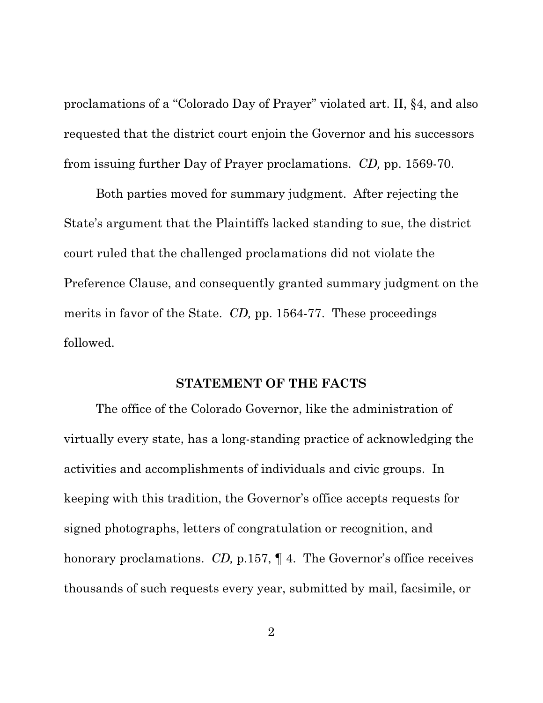proclamations of a "Colorado Day of Prayer" violated art. II, §4, and also requested that the district court enjoin the Governor and his successors from issuing further Day of Prayer proclamations. *CD,* pp. 1569-70.

Both parties moved for summary judgment. After rejecting the State's argument that the Plaintiffs lacked standing to sue, the district court ruled that the challenged proclamations did not violate the Preference Clause, and consequently granted summary judgment on the merits in favor of the State. *CD,* pp. 1564-77. These proceedings followed.

#### **STATEMENT OF THE FACTS**

The office of the Colorado Governor, like the administration of virtually every state, has a long-standing practice of acknowledging the activities and accomplishments of individuals and civic groups. In keeping with this tradition, the Governor's office accepts requests for signed photographs, letters of congratulation or recognition, and honorary proclamations. *CD,* p.157, ¶ 4. The Governor's office receives thousands of such requests every year, submitted by mail, facsimile, or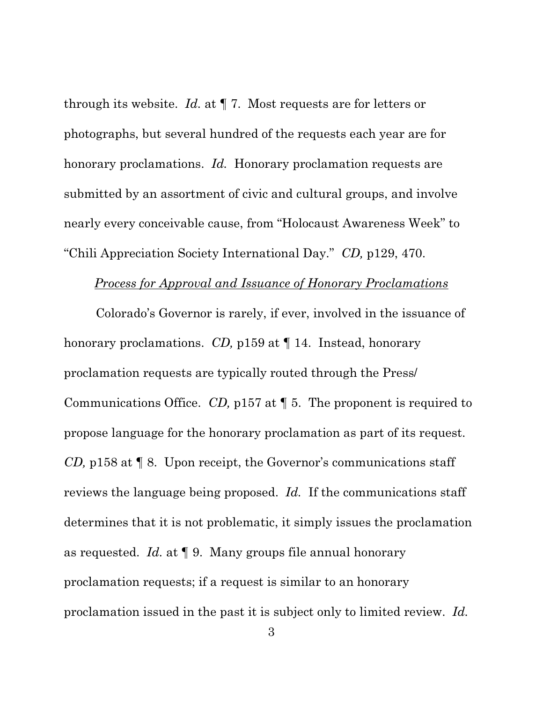through its website. *Id.* at ¶ 7. Most requests are for letters or photographs, but several hundred of the requests each year are for honorary proclamations. *Id.* Honorary proclamation requests are submitted by an assortment of civic and cultural groups, and involve nearly every conceivable cause, from "Holocaust Awareness Week" to "Chili Appreciation Society International Day." *CD,* p129, 470.

#### *Process for Approval and Issuance of Honorary Proclamations*

Colorado's Governor is rarely, if ever, involved in the issuance of honorary proclamations. *CD,* p159 at ¶ 14. Instead, honorary proclamation requests are typically routed through the Press/ Communications Office. *CD,* p157 at ¶ 5. The proponent is required to propose language for the honorary proclamation as part of its request. *CD,* p158 at ¶ 8. Upon receipt, the Governor's communications staff reviews the language being proposed. *Id.* If the communications staff determines that it is not problematic, it simply issues the proclamation as requested. *Id.* at ¶ 9. Many groups file annual honorary proclamation requests; if a request is similar to an honorary proclamation issued in the past it is subject only to limited review. *Id.*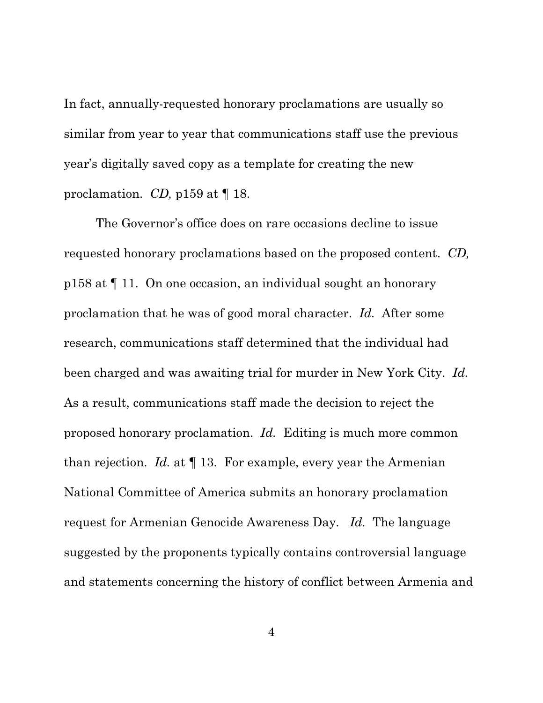In fact, annually-requested honorary proclamations are usually so similar from year to year that communications staff use the previous year's digitally saved copy as a template for creating the new proclamation. *CD,* p159 at ¶ 18.

The Governor's office does on rare occasions decline to issue requested honorary proclamations based on the proposed content. *CD,*  p158 at ¶ 11. On one occasion, an individual sought an honorary proclamation that he was of good moral character. *Id.* After some research, communications staff determined that the individual had been charged and was awaiting trial for murder in New York City. *Id.*  As a result, communications staff made the decision to reject the proposed honorary proclamation. *Id.* Editing is much more common than rejection. *Id.* at ¶ 13. For example, every year the Armenian National Committee of America submits an honorary proclamation request for Armenian Genocide Awareness Day. *Id.* The language suggested by the proponents typically contains controversial language and statements concerning the history of conflict between Armenia and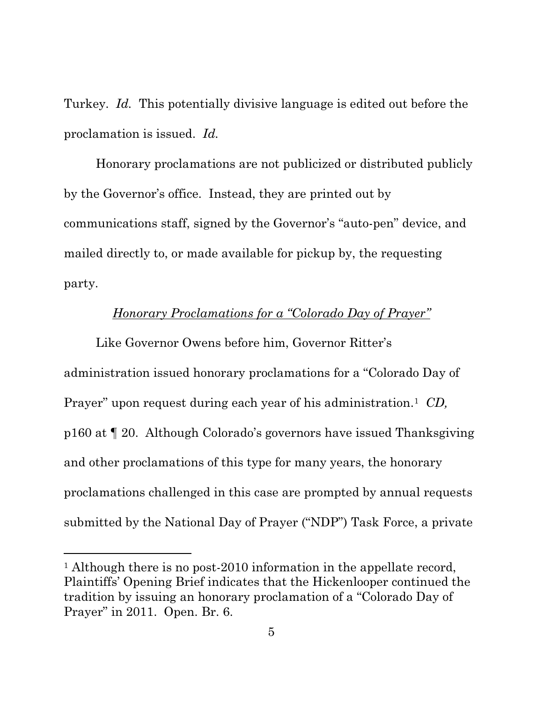Turkey. *Id.* This potentially divisive language is edited out before the proclamation is issued. *Id.*

Honorary proclamations are not publicized or distributed publicly by the Governor's office. Instead, they are printed out by communications staff, signed by the Governor's "auto-pen" device, and mailed directly to, or made available for pickup by, the requesting party.

### *Honorary Proclamations for a "Colorado Day of Prayer"*

Like Governor Owens before him, Governor Ritter's administration issued honorary proclamations for a "Colorado Day of Prayer" upon request during each year of his administration. 1 *CD,*  p160 at ¶ 20. Although Colorado's governors have issued Thanksgiving and other proclamations of this type for many years, the honorary proclamations challenged in this case are prompted by annual requests submitted by the National Day of Prayer ("NDP") Task Force, a private

<sup>&</sup>lt;sup>1</sup> Although there is no post-2010 information in the appellate record, Plaintiffs' Opening Brief indicates that the Hickenlooper continued the tradition by issuing an honorary proclamation of a "Colorado Day of Prayer" in 2011. Open. Br. 6.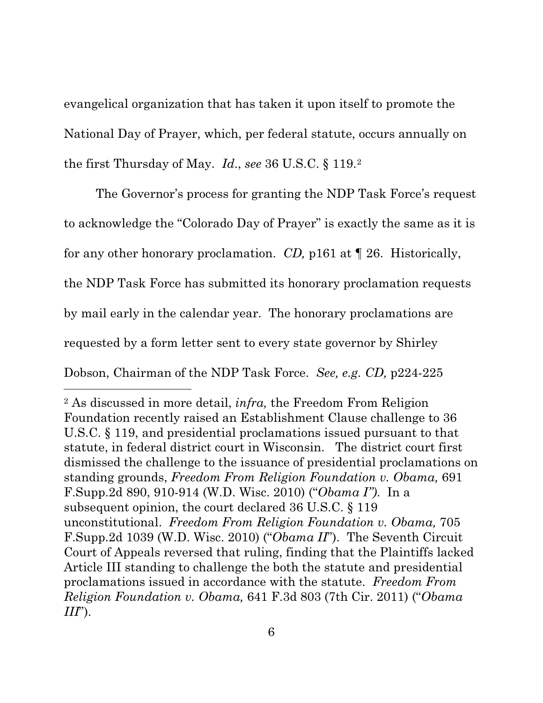evangelical organization that has taken it upon itself to promote the National Day of Prayer, which, per federal statute, occurs annually on the first Thursday of May. *Id*., *see* 36 U.S.C. § 119.2

The Governor's process for granting the NDP Task Force's request to acknowledge the "Colorado Day of Prayer" is exactly the same as it is for any other honorary proclamation. *CD,* p161 at ¶ 26. Historically, the NDP Task Force has submitted its honorary proclamation requests by mail early in the calendar year. The honorary proclamations are requested by a form letter sent to every state governor by Shirley Dobson, Chairman of the NDP Task Force. *See, e.g. CD,* p224-225

<sup>2</sup> As discussed in more detail, *infra,* the Freedom From Religion Foundation recently raised an Establishment Clause challenge to 36 U.S.C. § 119, and presidential proclamations issued pursuant to that statute, in federal district court in Wisconsin. The district court first dismissed the challenge to the issuance of presidential proclamations on standing grounds, *Freedom From Religion Foundation v. Obama,* 691 F.Supp.2d 890, 910-914 (W.D. Wisc. 2010) ("*Obama I")*. In a subsequent opinion, the court declared 36 U.S.C. § 119 unconstitutional. *Freedom From Religion Foundation v. Obama,* 705 F.Supp.2d 1039 (W.D. Wisc. 2010) ("*Obama II*"). The Seventh Circuit Court of Appeals reversed that ruling, finding that the Plaintiffs lacked Article III standing to challenge the both the statute and presidential proclamations issued in accordance with the statute. *Freedom From Religion Foundation v. Obama,* 641 F.3d 803 (7th Cir. 2011) ("*Obama III*").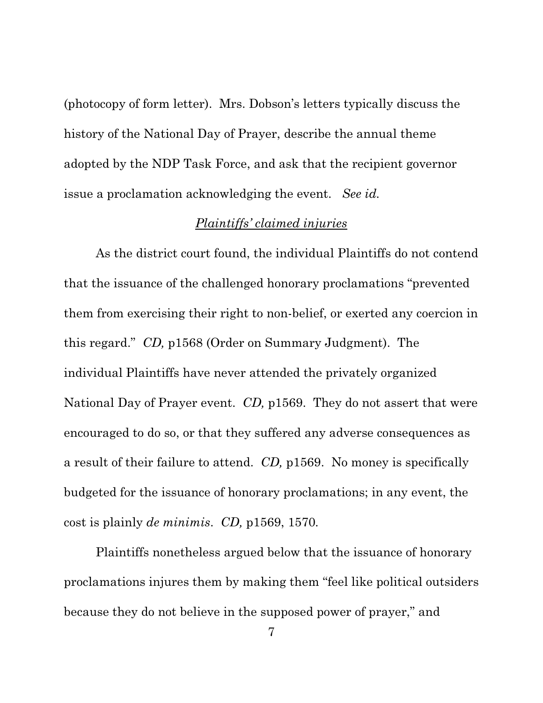(photocopy of form letter). Mrs. Dobson's letters typically discuss the history of the National Day of Prayer, describe the annual theme adopted by the NDP Task Force, and ask that the recipient governor issue a proclamation acknowledging the event. *See id.* 

#### *Plaintiffs' claimed injuries*

As the district court found, the individual Plaintiffs do not contend that the issuance of the challenged honorary proclamations "prevented them from exercising their right to non-belief, or exerted any coercion in this regard." *CD,* p1568 (Order on Summary Judgment). The individual Plaintiffs have never attended the privately organized National Day of Prayer event. *CD,* p1569. They do not assert that were encouraged to do so, or that they suffered any adverse consequences as a result of their failure to attend. *CD,* p1569. No money is specifically budgeted for the issuance of honorary proclamations; in any event, the cost is plainly *de minimis*. *CD,* p1569, 1570*.*

Plaintiffs nonetheless argued below that the issuance of honorary proclamations injures them by making them "feel like political outsiders because they do not believe in the supposed power of prayer," and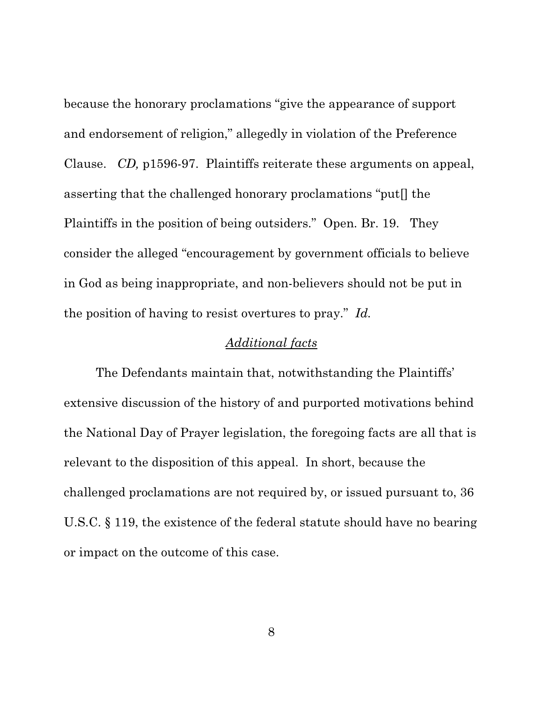because the honorary proclamations "give the appearance of support and endorsement of religion," allegedly in violation of the Preference Clause. *CD,* p1596-97. Plaintiffs reiterate these arguments on appeal, asserting that the challenged honorary proclamations "put[] the Plaintiffs in the position of being outsiders." Open. Br. 19. They consider the alleged "encouragement by government officials to believe in God as being inappropriate, and non-believers should not be put in the position of having to resist overtures to pray." *Id.*

### *Additional facts*

The Defendants maintain that, notwithstanding the Plaintiffs' extensive discussion of the history of and purported motivations behind the National Day of Prayer legislation, the foregoing facts are all that is relevant to the disposition of this appeal. In short, because the challenged proclamations are not required by, or issued pursuant to, 36 U.S.C. § 119, the existence of the federal statute should have no bearing or impact on the outcome of this case.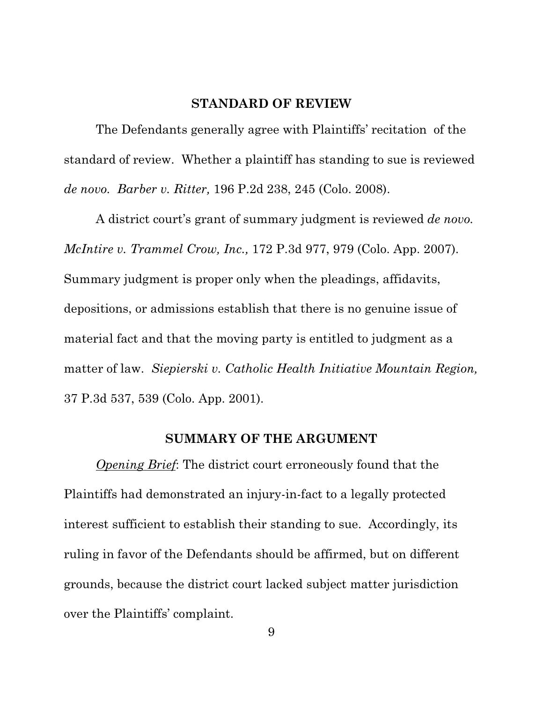#### **STANDARD OF REVIEW**

The Defendants generally agree with Plaintiffs' recitation of the standard of review. Whether a plaintiff has standing to sue is reviewed *de novo. Barber v. Ritter,* 196 P.2d 238, 245 (Colo. 2008).

A district court's grant of summary judgment is reviewed *de novo. McIntire v. Trammel Crow, Inc.,* 172 P.3d 977, 979 (Colo. App. 2007). Summary judgment is proper only when the pleadings, affidavits, depositions, or admissions establish that there is no genuine issue of material fact and that the moving party is entitled to judgment as a matter of law. *Siepierski v. Catholic Health Initiative Mountain Region,* 37 P.3d 537, 539 (Colo. App. 2001).

#### **SUMMARY OF THE ARGUMENT**

*Opening Brief*: The district court erroneously found that the Plaintiffs had demonstrated an injury-in-fact to a legally protected interest sufficient to establish their standing to sue. Accordingly, its ruling in favor of the Defendants should be affirmed, but on different grounds, because the district court lacked subject matter jurisdiction over the Plaintiffs' complaint.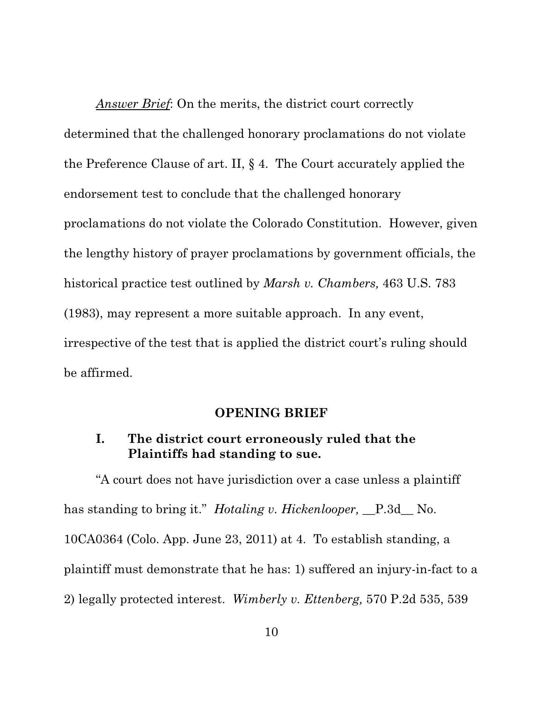*Answer Brief* : On the merits, the district court correctly determined that the challenged honorary proclamations do not violate the Preference Clause of art. II, § 4. The Court accurately applied the endorsement test to conclude that the challenged honorary proclamations do not violate the Colorado Constitution. However, given the lengthy history of prayer proclamations by government officials, the historical practice test outlined by *Marsh v. Chambers,* 463 U.S. 783 (1983), may represent a more suitable approach. In any event, irrespective of the test that is applied the district court's ruling should be affirmed.

#### **OPENING BRIEF**

## **I. The district court erroneously ruled that the Plaintiffs had standing to sue.**

"A court does not have jurisdiction over a case unless a plaintiff has standing to bring it." *Hotaling v. Hickenlooper*, P.3d No. 10CA0364 (Colo. App. June 23, 2011) at 4. To establish standing, a plaintiff must demonstrate that he has: 1) suffered an injury-in-fact to a 2) legally protected interest. *Wimberly v. Ettenberg,* 570 P.2d 535, 539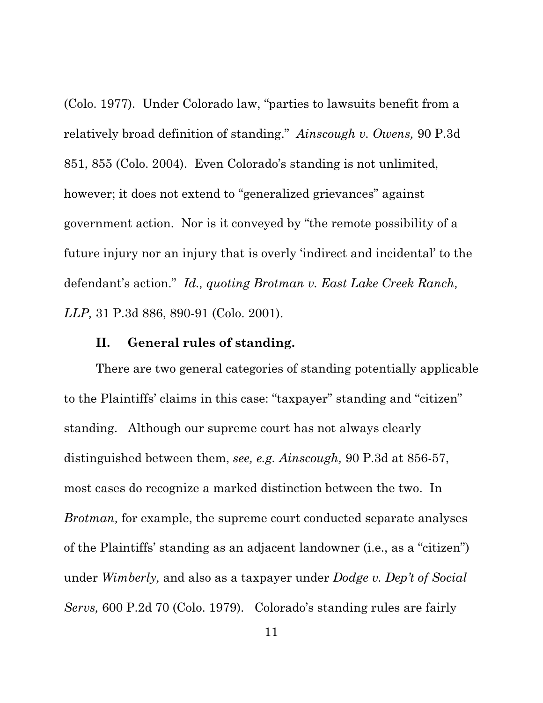(Colo. 1977). Under Colorado law, "parties to lawsuits benefit from a relatively broad definition of standing." *Ainscough v. Owens,* 90 P.3d 851, 855 (Colo. 2004). Even Colorado's standing is not unlimited, however; it does not extend to "generalized grievances" against government action. Nor is it conveyed by "the remote possibility of a future injury nor an injury that is overly 'indirect and incidental' to the defendant's action." *Id., quoting Brotman v. East Lake Creek Ranch, LLP,* 31 P.3d 886, 890-91 (Colo. 2001).

### **II. General rules of standing.**

There are two general categories of standing potentially applicable to the Plaintiffs' claims in this case: "taxpayer" standing and "citizen" standing. Although our supreme court has not always clearly distinguished between them, *see, e.g. Ainscough,* 90 P.3d at 856-57, most cases do recognize a marked distinction between the two. In *Brotman,* for example, the supreme court conducted separate analyses of the Plaintiffs' standing as an adjacent landowner (i.e., as a "citizen") under *Wimberly,* and also as a taxpayer under *Dodge v. Dep't of Social Servs,* 600 P.2d 70 (Colo. 1979). Colorado's standing rules are fairly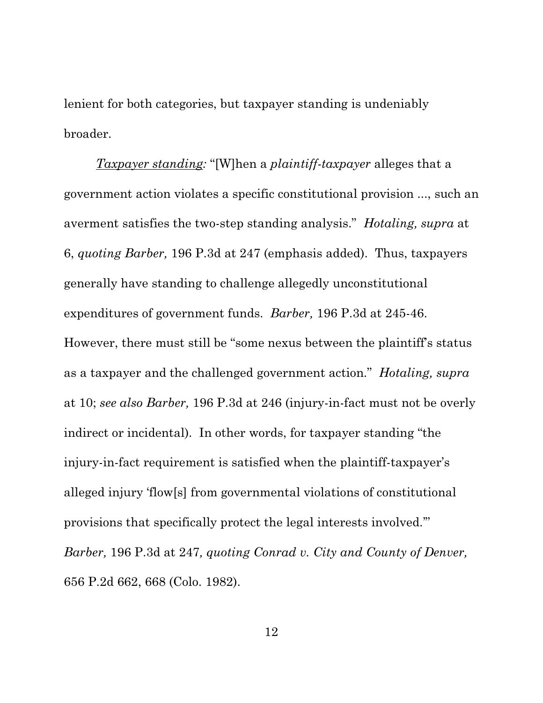lenient for both categories, but taxpayer standing is undeniably broader.

*Taxpayer standing:* "[W]hen a *plaintiff-taxpayer* alleges that a government action violates a specific constitutional provision ..., such an averment satisfies the two-step standing analysis." *Hotaling, supra* at 6, *quoting Barber,* 196 P.3d at 247 (emphasis added). Thus, taxpayers generally have standing to challenge allegedly unconstitutional expenditures of government funds. *Barber,* 196 P.3d at 245-46. However, there must still be "some nexus between the plaintiff's status as a taxpayer and the challenged government action." *Hotaling, supra*  at 10; *see also Barber,* 196 P.3d at 246 (injury-in-fact must not be overly indirect or incidental). In other words, for taxpayer standing "the injury-in-fact requirement is satisfied when the plaintiff-taxpayer's alleged injury 'flow[s] from governmental violations of constitutional provisions that specifically protect the legal interests involved.'" *Barber,* 196 P.3d at 247*, quoting Conrad v. City and County of Denver,*  656 P.2d 662, 668 (Colo. 1982).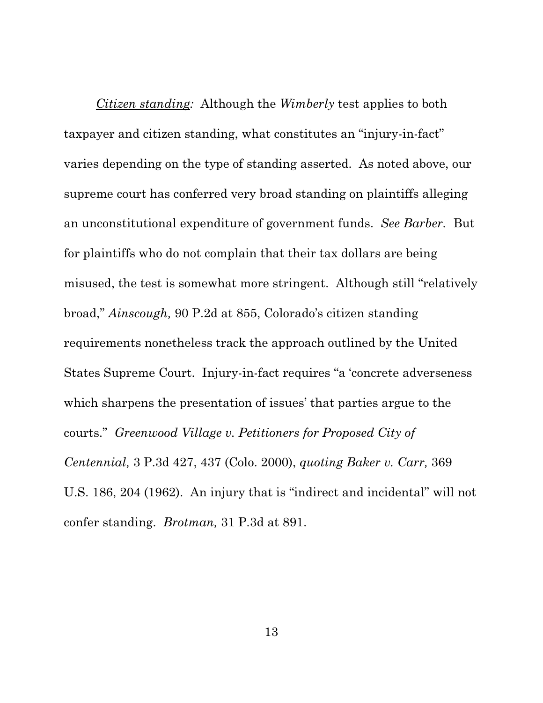*Citizen standing:* Although the *Wimberly* test applies to both taxpayer and citizen standing, what constitutes an "injury-in-fact" varies depending on the type of standing asserted. As noted above, our supreme court has conferred very broad standing on plaintiffs alleging an unconstitutional expenditure of government funds. *See Barber.* But for plaintiffs who do not complain that their tax dollars are being misused, the test is somewhat more stringent. Although still "relatively broad," *Ainscough,* 90 P.2d at 855, Colorado's citizen standing requirements nonetheless track the approach outlined by the United States Supreme Court. Injury-in-fact requires "a 'concrete adverseness which sharpens the presentation of issues' that parties argue to the courts." *Greenwood Village v. Petitioners for Proposed City of Centennial,* 3 P.3d 427, 437 (Colo. 2000), *quoting Baker v. Carr,* 369 U.S. 186, 204 (1962). An injury that is "indirect and incidental" will not confer standing. *Brotman,* 31 P.3d at 891.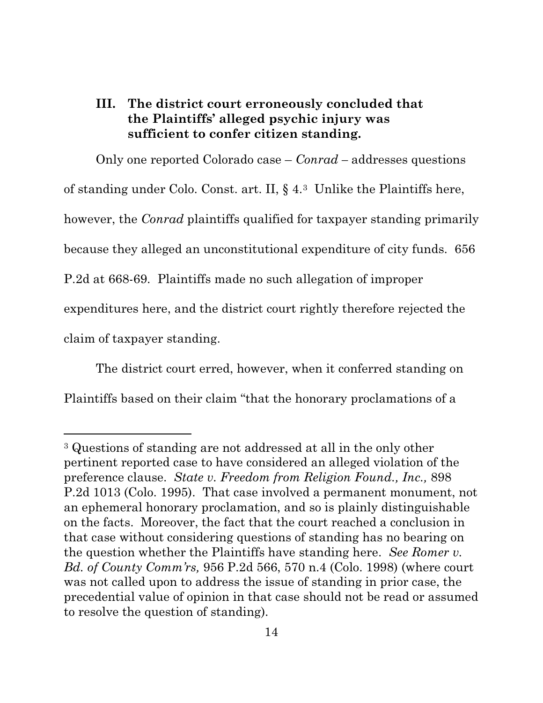## **III. The district court erroneously concluded that the Plaintiffs' alleged psychic injury was sufficient to confer citizen standing.**

Only one reported Colorado case – *Conrad –* addresses questions of standing under Colo. Const. art. II, § 4.3 Unlike the Plaintiffs here, however, the *Conrad* plaintiffs qualified for taxpayer standing primarily because they alleged an unconstitutional expenditure of city funds. 656 P.2d at 668-69. Plaintiffs made no such allegation of improper expenditures here, and the district court rightly therefore rejected the claim of taxpayer standing.

The district court erred, however, when it conferred standing on Plaintiffs based on their claim "that the honorary proclamations of a

<sup>3</sup> Questions of standing are not addressed at all in the only other pertinent reported case to have considered an alleged violation of the preference clause. *State v. Freedom from Religion Found., Inc.,* 898 P.2d 1013 (Colo. 1995). That case involved a permanent monument, not an ephemeral honorary proclamation, and so is plainly distinguishable on the facts. Moreover, the fact that the court reached a conclusion in that case without considering questions of standing has no bearing on the question whether the Plaintiffs have standing here. *See Romer v. Bd. of County Comm'rs,* 956 P.2d 566, 570 n.4 (Colo. 1998) (where court was not called upon to address the issue of standing in prior case, the precedential value of opinion in that case should not be read or assumed to resolve the question of standing).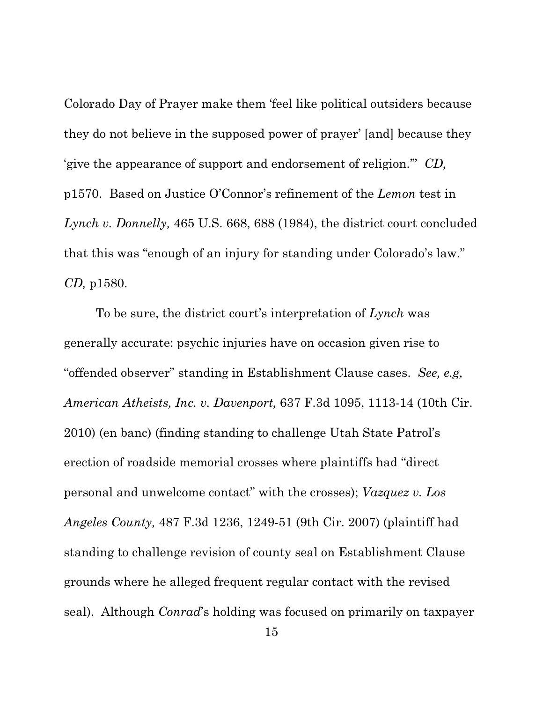Colorado Day of Prayer make them 'feel like political outsiders because they do not believe in the supposed power of prayer' [and] because they 'give the appearance of support and endorsement of religion.'" *CD,*  p1570. Based on Justice O'Connor's refinement of the *Lemon* test in *Lynch v. Donnelly,* 465 U.S. 668, 688 (1984), the district court concluded that this was "enough of an injury for standing under Colorado's law." *CD,* p1580.

To be sure, the district court's interpretation of *Lynch* was generally accurate: psychic injuries have on occasion given rise to "offended observer" standing in Establishment Clause cases. *See, e.g, American Atheists, Inc. v. Davenport,* 637 F.3d 1095, 1113-14 (10th Cir. 2010) (en banc) (finding standing to challenge Utah State Patrol's erection of roadside memorial crosses where plaintiffs had "direct personal and unwelcome contact" with the crosses); *Vazquez v. Los Angeles County,* 487 F.3d 1236, 1249-51 (9th Cir. 2007) (plaintiff had standing to challenge revision of county seal on Establishment Clause grounds where he alleged frequent regular contact with the revised seal). Although *Conrad*'s holding was focused on primarily on taxpayer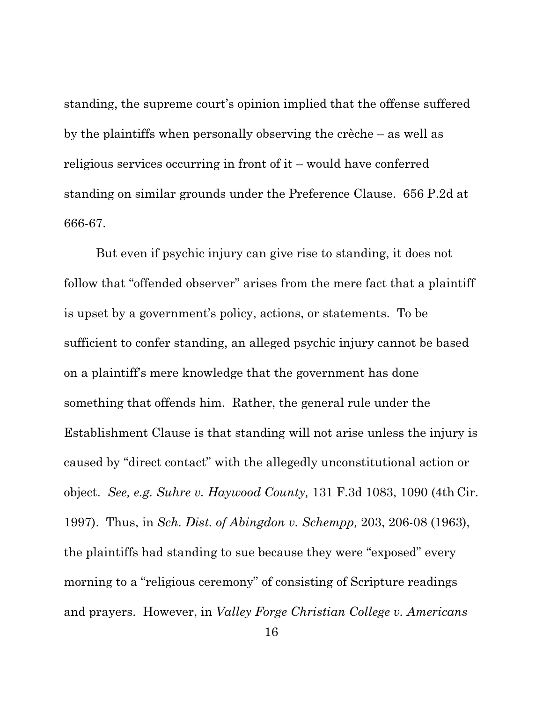standing, the supreme court's opinion implied that the offense suffered by the plaintiffs when personally observing the crèche – as well as religious services occurring in front of it – would have conferred standing on similar grounds under the Preference Clause. 656 P.2d at 666-67.

But even if psychic injury can give rise to standing, it does not follow that "offended observer" arises from the mere fact that a plaintiff is upset by a government's policy, actions, or statements. To be sufficient to confer standing, an alleged psychic injury cannot be based on a plaintiff's mere knowledge that the government has done something that offends him. Rather, the general rule under the Establishment Clause is that standing will not arise unless the injury is caused by "direct contact" with the allegedly unconstitutional action or object. *See, e.g. Suhre v. Haywood County,* 131 F.3d 1083, 1090 (4th Cir. 1997). Thus, in *Sch. Dist. of Abingdon v. Schempp,* 203, 206-08 (1963), the plaintiffs had standing to sue because they were "exposed" every morning to a "religious ceremony" of consisting of Scripture readings and prayers. However, in *Valley Forge Christian College v. Americans*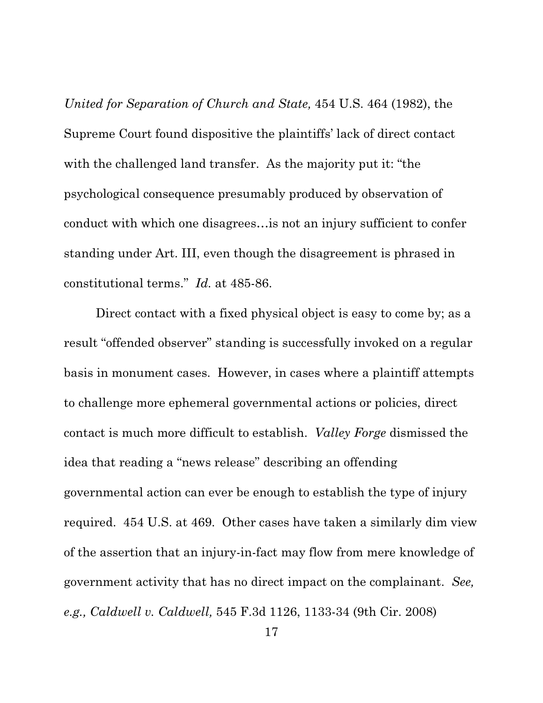*United for Separation of Church and State,* 454 U.S. 464 (1982), the Supreme Court found dispositive the plaintiffs' lack of direct contact with the challenged land transfer. As the majority put it: "the psychological consequence presumably produced by observation of conduct with which one disagrees…is not an injury sufficient to confer standing under Art. III, even though the disagreement is phrased in constitutional terms." *Id.* at 485-86.

Direct contact with a fixed physical object is easy to come by; as a result "offended observer" standing is successfully invoked on a regular basis in monument cases. However, in cases where a plaintiff attempts to challenge more ephemeral governmental actions or policies, direct contact is much more difficult to establish. *Valley Forge* dismissed the idea that reading a "news release" describing an offending governmental action can ever be enough to establish the type of injury required. 454 U.S. at 469. Other cases have taken a similarly dim view of the assertion that an injury-in-fact may flow from mere knowledge of government activity that has no direct impact on the complainant. *See, e.g., Caldwell v. Caldwell,* 545 F.3d 1126, 1133-34 (9th Cir. 2008)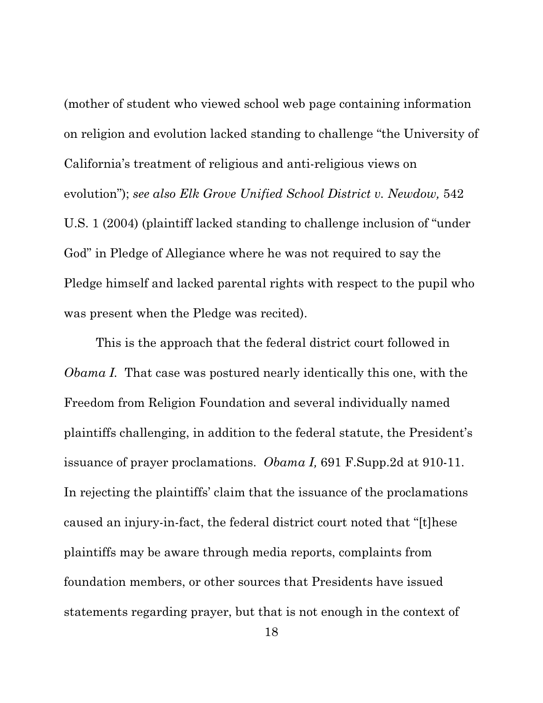(mother of student who viewed school web page containing information on religion and evolution lacked standing to challenge "the University of California's treatment of religious and anti-religious views on evolution"); *see also Elk Grove Unified School District v. Newdow,* 542 U.S. 1 (2004) (plaintiff lacked standing to challenge inclusion of "under God" in Pledge of Allegiance where he was not required to say the Pledge himself and lacked parental rights with respect to the pupil who was present when the Pledge was recited).

This is the approach that the federal district court followed in *Obama I.* That case was postured nearly identically this one, with the Freedom from Religion Foundation and several individually named plaintiffs challenging, in addition to the federal statute, the President's issuance of prayer proclamations. *Obama I,* 691 F.Supp.2d at 910-11. In rejecting the plaintiffs' claim that the issuance of the proclamations caused an injury-in-fact, the federal district court noted that "[t]hese plaintiffs may be aware through media reports, complaints from foundation members, or other sources that Presidents have issued statements regarding prayer, but that is not enough in the context of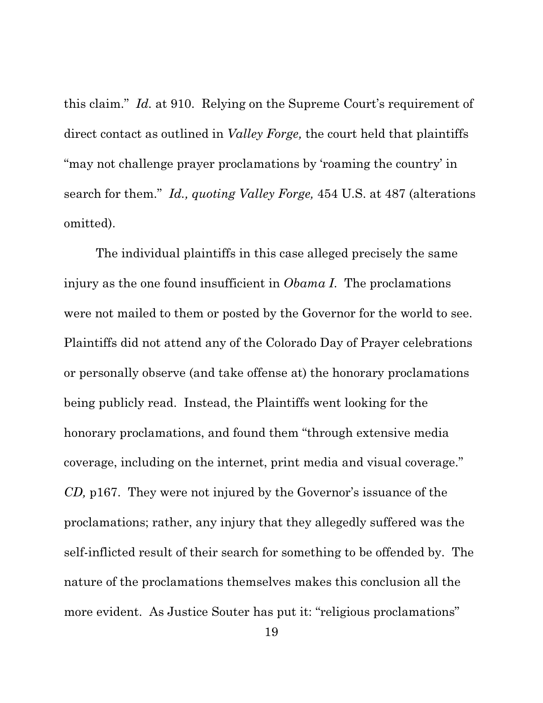this claim." *Id.* at 910. Relying on the Supreme Court's requirement of direct contact as outlined in *Valley Forge,* the court held that plaintiffs "may not challenge prayer proclamations by 'roaming the country' in search for them." *Id., quoting Valley Forge,* 454 U.S. at 487 (alterations omitted).

The individual plaintiffs in this case alleged precisely the same injury as the one found insufficient in *Obama I*. The proclamations were not mailed to them or posted by the Governor for the world to see. Plaintiffs did not attend any of the Colorado Day of Prayer celebrations or personally observe (and take offense at) the honorary proclamations being publicly read. Instead, the Plaintiffs went looking for the honorary proclamations, and found them "through extensive media coverage, including on the internet, print media and visual coverage." *CD,* p167. They were not injured by the Governor's issuance of the proclamations; rather, any injury that they allegedly suffered was the self-inflicted result of their search for something to be offended by. The nature of the proclamations themselves makes this conclusion all the more evident. As Justice Souter has put it: "religious proclamations"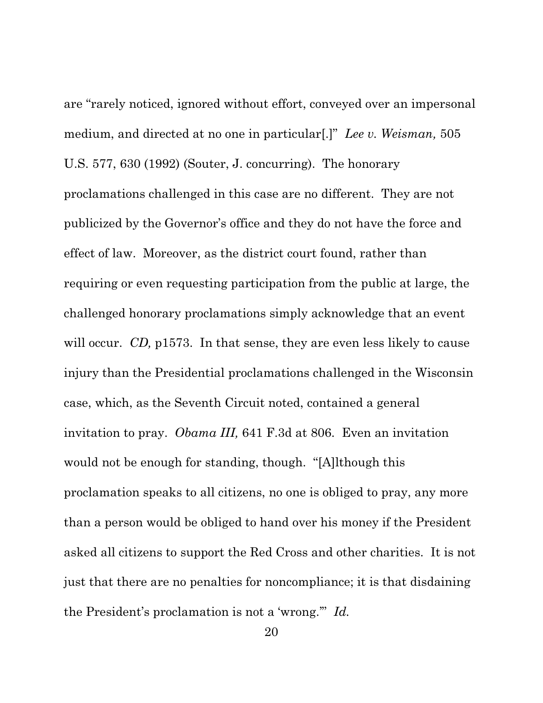are "rarely noticed, ignored without effort, conveyed over an impersonal medium, and directed at no one in particular[.]" *Lee v. Weisman,* 505 U.S. 577, 630 (1992) (Souter, J. concurring). The honorary proclamations challenged in this case are no different. They are not publicized by the Governor's office and they do not have the force and effect of law. Moreover, as the district court found, rather than requiring or even requesting participation from the public at large, the challenged honorary proclamations simply acknowledge that an event will occur. *CD*, p1573. In that sense, they are even less likely to cause injury than the Presidential proclamations challenged in the Wisconsin case, which, as the Seventh Circuit noted, contained a general invitation to pray. *Obama III,* 641 F.3d at 806. Even an invitation would not be enough for standing, though. "[A]lthough this proclamation speaks to all citizens, no one is obliged to pray, any more than a person would be obliged to hand over his money if the President asked all citizens to support the Red Cross and other charities. It is not just that there are no penalties for noncompliance; it is that disdaining the President's proclamation is not a 'wrong.'" *Id.*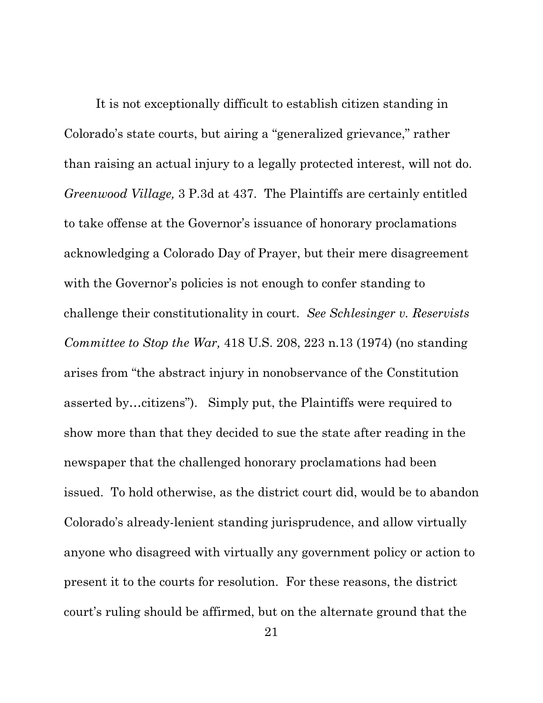It is not exceptionally difficult to establish citizen standing in Colorado's state courts, but airing a "generalized grievance," rather than raising an actual injury to a legally protected interest, will not do. *Greenwood Village,* 3 P.3d at 437. The Plaintiffs are certainly entitled to take offense at the Governor's issuance of honorary proclamations acknowledging a Colorado Day of Prayer, but their mere disagreement with the Governor's policies is not enough to confer standing to challenge their constitutionality in court. *See Schlesinger v. Reservists Committee to Stop the War,* 418 U.S. 208, 223 n.13 (1974) (no standing arises from "the abstract injury in nonobservance of the Constitution asserted by…citizens"). Simply put, the Plaintiffs were required to show more than that they decided to sue the state after reading in the newspaper that the challenged honorary proclamations had been issued. To hold otherwise, as the district court did, would be to abandon Colorado's already-lenient standing jurisprudence, and allow virtually anyone who disagreed with virtually any government policy or action to present it to the courts for resolution. For these reasons, the district court's ruling should be affirmed, but on the alternate ground that the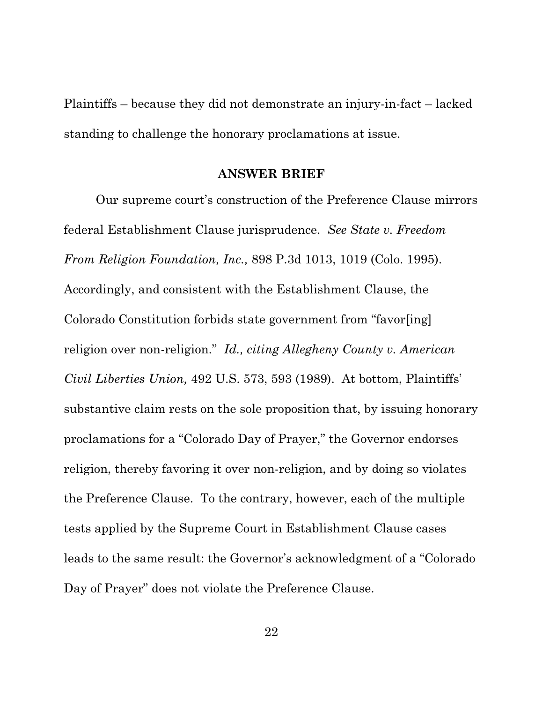Plaintiffs – because they did not demonstrate an injury-in-fact – lacked standing to challenge the honorary proclamations at issue.

#### **ANSWER BRIEF**

Our supreme court's construction of the Preference Clause mirrors federal Establishment Clause jurisprudence. *See State v. Freedom From Religion Foundation, Inc.,* 898 P.3d 1013, 1019 (Colo. 1995). Accordingly, and consistent with the Establishment Clause, the Colorado Constitution forbids state government from "favor[ing] religion over non-religion." *Id., citing Allegheny County v. American Civil Liberties Union,* 492 U.S. 573, 593 (1989). At bottom, Plaintiffs' substantive claim rests on the sole proposition that, by issuing honorary proclamations for a "Colorado Day of Prayer," the Governor endorses religion, thereby favoring it over non-religion, and by doing so violates the Preference Clause. To the contrary, however, each of the multiple tests applied by the Supreme Court in Establishment Clause cases leads to the same result: the Governor's acknowledgment of a "Colorado Day of Prayer" does not violate the Preference Clause.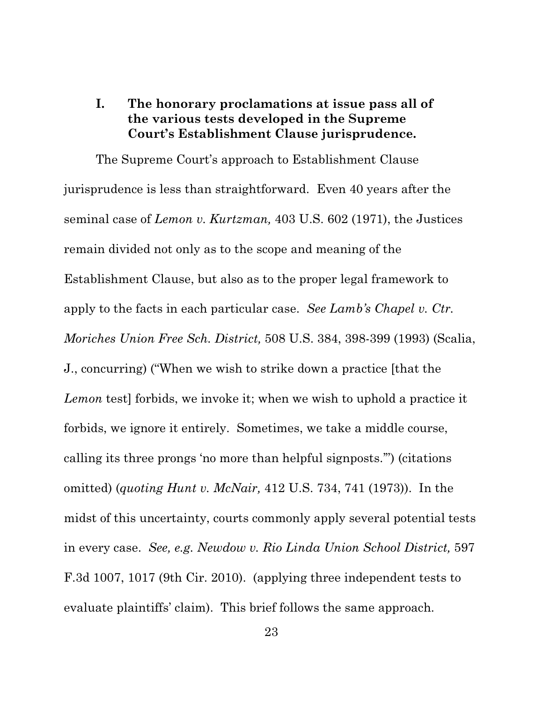## **I. The honorary proclamations at issue pass all of the various tests developed in the Supreme Court's Establishment Clause jurisprudence.**

The Supreme Court's approach to Establishment Clause jurisprudence is less than straightforward. Even 40 years after the seminal case of *Lemon v. Kurtzman,* 403 U.S. 602 (1971), the Justices remain divided not only as to the scope and meaning of the Establishment Clause, but also as to the proper legal framework to apply to the facts in each particular case. *See Lamb's Chapel v. Ctr. Moriches Union Free Sch. District,* 508 U.S. 384, 398-399 (1993) (Scalia, J., concurring) ("When we wish to strike down a practice [that the *Lemon* test] forbids, we invoke it; when we wish to uphold a practice it forbids, we ignore it entirely. Sometimes, we take a middle course, calling its three prongs 'no more than helpful signposts.'") (citations omitted) (*quoting Hunt v. McNair,* 412 U.S. 734, 741 (1973)). In the midst of this uncertainty, courts commonly apply several potential tests in every case. *See, e.g. Newdow v. Rio Linda Union School District,* 597 F.3d 1007, 1017 (9th Cir. 2010). (applying three independent tests to evaluate plaintiffs' claim). This brief follows the same approach.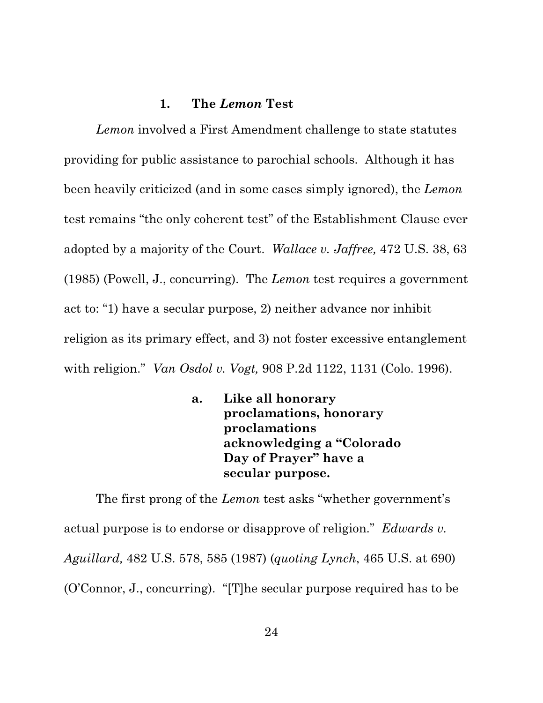### **1. The** *Lemon* **Test**

*Lemon* involved a First Amendment challenge to state statutes providing for public assistance to parochial schools. Although it has been heavily criticized (and in some cases simply ignored), the *Lemon* test remains "the only coherent test" of the Establishment Clause ever adopted by a majority of the Court. *Wallace v. Jaffree,* 472 U.S. 38, 63 (1985) (Powell, J., concurring). The *Lemon* test requires a government act to: "1) have a secular purpose, 2) neither advance nor inhibit religion as its primary effect, and 3) not foster excessive entanglement with religion." *Van Osdol v. Vogt,* 908 P.2d 1122, 1131 (Colo. 1996).

> **a. Like all honorary proclamations, honorary proclamations acknowledging a "Colorado Day of Prayer" have a secular purpose.**

The first prong of the *Lemon* test asks "whether government's actual purpose is to endorse or disapprove of religion." *Edwards v. Aguillard,* 482 U.S. 578, 585 (1987) (*quoting Lynch*, 465 U.S. at 690) (O'Connor, J., concurring). "[T]he secular purpose required has to be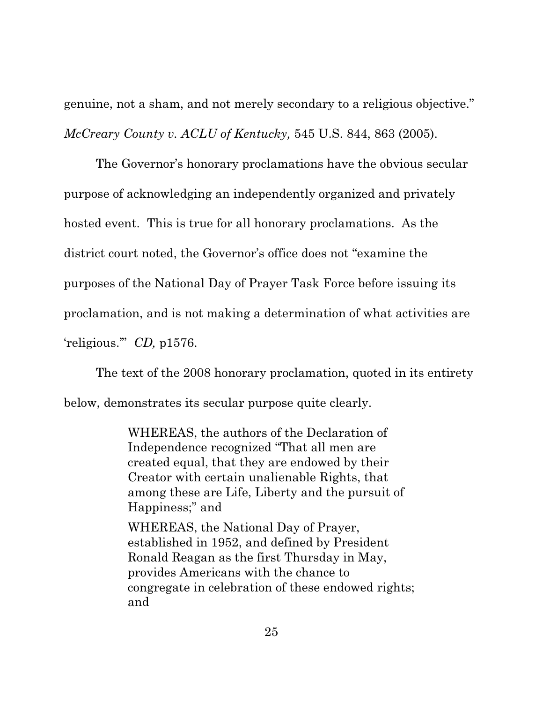genuine, not a sham, and not merely secondary to a religious objective." *McCreary County v. ACLU of Kentucky,* 545 U.S. 844, 863 (2005).

The Governor's honorary proclamations have the obvious secular purpose of acknowledging an independently organized and privately hosted event. This is true for all honorary proclamations. As the district court noted, the Governor's office does not "examine the purposes of the National Day of Prayer Task Force before issuing its proclamation, and is not making a determination of what activities are 'religious.'" *CD,* p1576.

The text of the 2008 honorary proclamation, quoted in its entirety below, demonstrates its secular purpose quite clearly.

> WHEREAS, the authors of the Declaration of Independence recognized "That all men are created equal, that they are endowed by their Creator with certain unalienable Rights, that among these are Life, Liberty and the pursuit of Happiness;" and WHEREAS, the National Day of Prayer,

established in 1952, and defined by President Ronald Reagan as the first Thursday in May, provides Americans with the chance to congregate in celebration of these endowed rights; and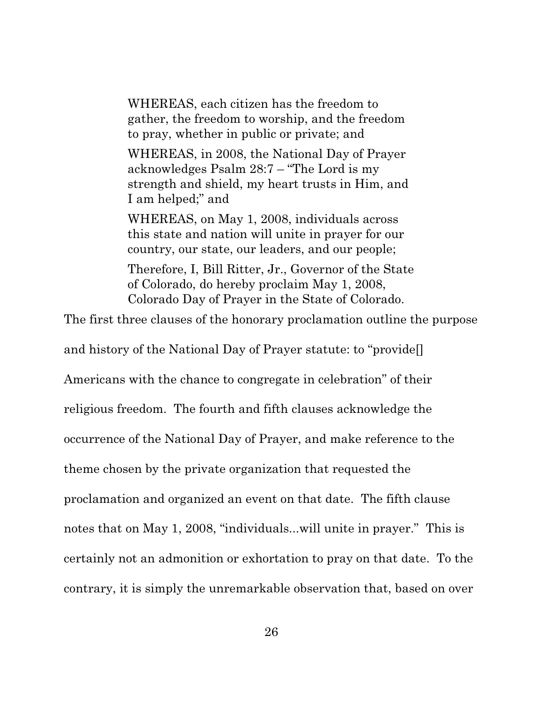WHEREAS, each citizen has the freedom to gather, the freedom to worship, and the freedom to pray, whether in public or private; and

WHEREAS, in 2008, the National Day of Prayer acknowledges Psalm 28:7 – "The Lord is my strength and shield, my heart trusts in Him, and I am helped;" and

WHEREAS, on May 1, 2008, individuals across this state and nation will unite in prayer for our country, our state, our leaders, and our people;

Therefore, I, Bill Ritter, Jr., Governor of the State of Colorado, do hereby proclaim May 1, 2008, Colorado Day of Prayer in the State of Colorado.

The first three clauses of the honorary proclamation outline the purpose

and history of the National Day of Prayer statute: to "provide[]

Americans with the chance to congregate in celebration" of their

religious freedom. The fourth and fifth clauses acknowledge the

occurrence of the National Day of Prayer, and make reference to the

theme chosen by the private organization that requested the

proclamation and organized an event on that date. The fifth clause

notes that on May 1, 2008, "individuals...will unite in prayer." This is

certainly not an admonition or exhortation to pray on that date. To the

contrary, it is simply the unremarkable observation that, based on over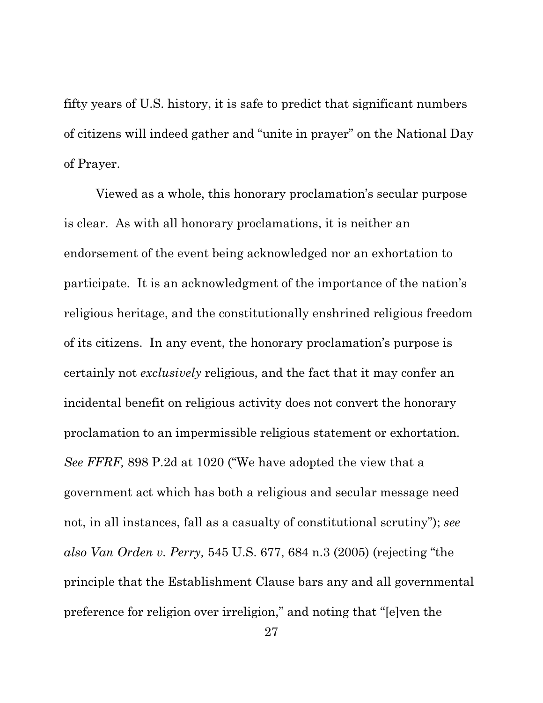fifty years of U.S. history, it is safe to predict that significant numbers of citizens will indeed gather and "unite in prayer" on the National Day of Prayer.

Viewed as a whole, this honorary proclamation's secular purpose is clear. As with all honorary proclamations, it is neither an endorsement of the event being acknowledged nor an exhortation to participate. It is an acknowledgment of the importance of the nation's religious heritage, and the constitutionally enshrined religious freedom of its citizens. In any event, the honorary proclamation's purpose is certainly not *exclusively* religious, and the fact that it may confer an incidental benefit on religious activity does not convert the honorary proclamation to an impermissible religious statement or exhortation. *See FFRF,* 898 P.2d at 1020 ("We have adopted the view that a government act which has both a religious and secular message need not, in all instances, fall as a casualty of constitutional scrutiny"); *see also Van Orden v. Perry,* 545 U.S. 677, 684 n.3 (2005) (rejecting "the principle that the Establishment Clause bars any and all governmental preference for religion over irreligion," and noting that "[e]ven the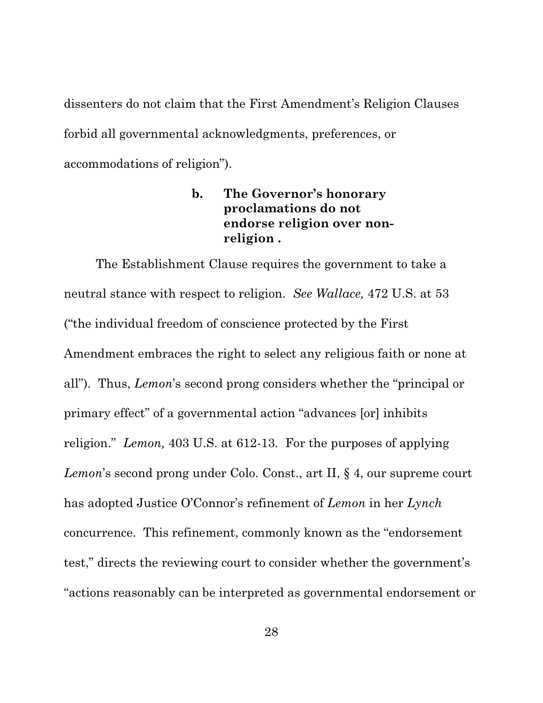dissenters do not claim that the First Amendment's Religion Clauses forbid all governmental acknowledgments, preferences, or accommodations of religion").

## **b. The Governor's honorary proclamations do not endorse religion over nonreligion .**

The Establishment Clause requires the government to take a neutral stance with respect to religion. *See Wallace,* 472 U.S. at 53 ("the individual freedom of conscience protected by the First Amendment embraces the right to select any religious faith or none at all"). Thus, *Lemon*'s second prong considers whether the "principal or primary effect" of a governmental action "advances [or] inhibits religion." *Lemon,* 403 U.S. at 612-13. For the purposes of applying *Lemon*'s second prong under Colo. Const., art II, § 4, our supreme court has adopted Justice O'Connor's refinement of *Lemon* in her *Lynch* concurrence. This refinement, commonly known as the "endorsement test," directs the reviewing court to consider whether the government's "actions reasonably can be interpreted as governmental endorsement or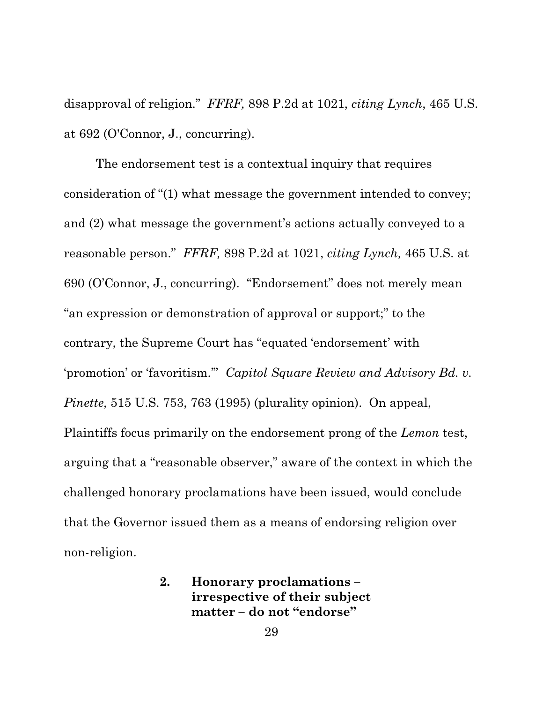disapproval of religion." *FFRF,* 898 P.2d at 1021, *citing Lynch*, 465 U.S. at 692 (O'Connor, J., concurring).

The endorsement test is a contextual inquiry that requires consideration of "(1) what message the government intended to convey; and (2) what message the government's actions actually conveyed to a reasonable person." *FFRF,* 898 P.2d at 1021, *citing Lynch,* 465 U.S. at 690 (O'Connor, J., concurring). "Endorsement" does not merely mean "an expression or demonstration of approval or support;" to the contrary, the Supreme Court has "equated 'endorsement' with 'promotion' or 'favoritism.'" *Capitol Square Review and Advisory Bd. v. Pinette,* 515 U.S. 753, 763 (1995) (plurality opinion). On appeal, Plaintiffs focus primarily on the endorsement prong of the *Lemon* test, arguing that a "reasonable observer," aware of the context in which the challenged honorary proclamations have been issued, would conclude that the Governor issued them as a means of endorsing religion over non-religion.

> **2. Honorary proclamations – irrespective of their subject matter – do not "endorse"**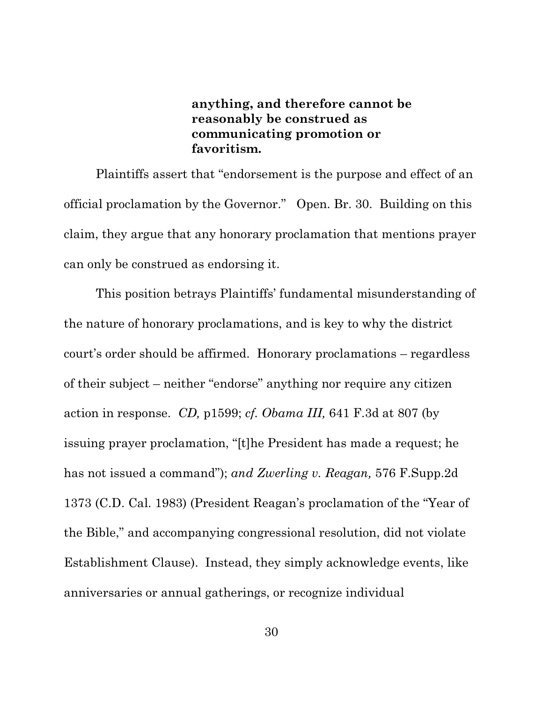**anything, and therefore cannot be reasonably be construed as communicating promotion or favoritism.**

Plaintiffs assert that "endorsement is the purpose and effect of an official proclamation by the Governor." Open. Br. 30. Building on this claim, they argue that any honorary proclamation that mentions prayer can only be construed as endorsing it.

This position betrays Plaintiffs' fundamental misunderstanding of the nature of honorary proclamations, and is key to why the district court's order should be affirmed. Honorary proclamations – regardless of their subject – neither "endorse" anything nor require any citizen action in response. *CD,* p1599; *cf. Obama III,* 641 F.3d at 807 (by issuing prayer proclamation, "[t]he President has made a request; he has not issued a command"); *and Zwerling v. Reagan,* 576 F.Supp.2d 1373 (C.D. Cal. 1983) (President Reagan's proclamation of the "Year of the Bible," and accompanying congressional resolution, did not violate Establishment Clause). Instead, they simply acknowledge events, like anniversaries or annual gatherings, or recognize individual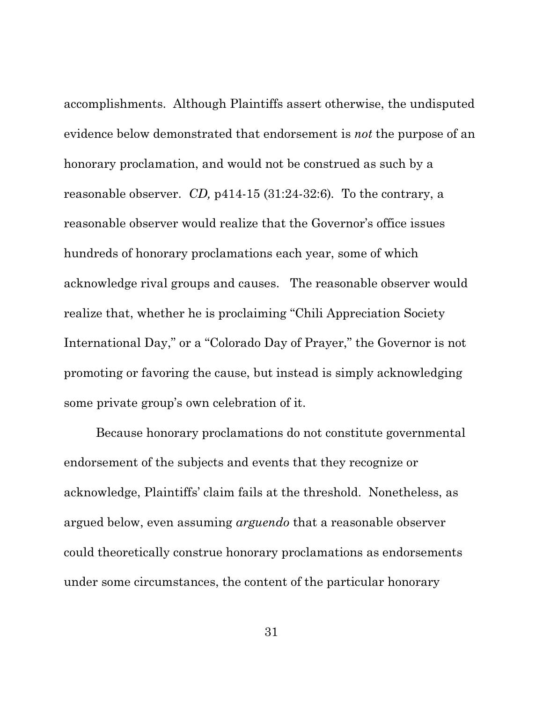accomplishments. Although Plaintiffs assert otherwise, the undisputed evidence below demonstrated that endorsement is *not* the purpose of an honorary proclamation, and would not be construed as such by a reasonable observer. *CD,* p414-15 (31:24-32:6)*.* To the contrary, a reasonable observer would realize that the Governor's office issues hundreds of honorary proclamations each year, some of which acknowledge rival groups and causes. The reasonable observer would realize that, whether he is proclaiming "Chili Appreciation Society International Day," or a "Colorado Day of Prayer," the Governor is not promoting or favoring the cause, but instead is simply acknowledging some private group's own celebration of it.

Because honorary proclamations do not constitute governmental endorsement of the subjects and events that they recognize or acknowledge, Plaintiffs' claim fails at the threshold. Nonetheless, as argued below, even assuming *arguendo* that a reasonable observer could theoretically construe honorary proclamations as endorsements under some circumstances, the content of the particular honorary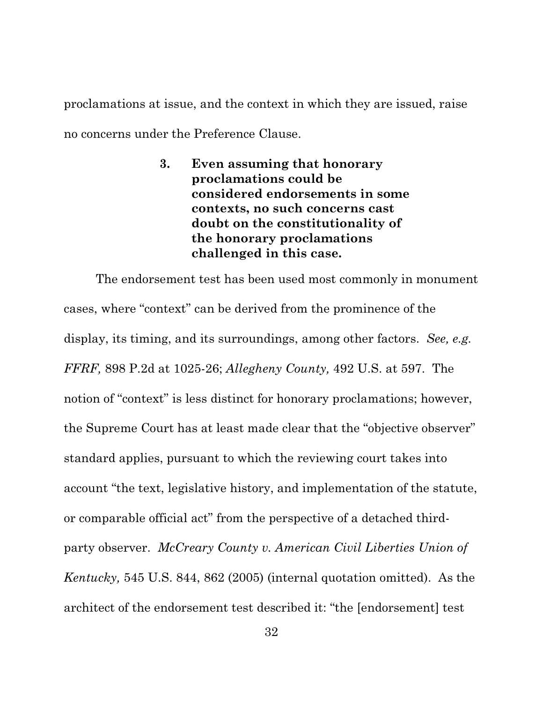proclamations at issue, and the context in which they are issued, raise no concerns under the Preference Clause.

> **3. Even assuming that honorary proclamations could be considered endorsements in some contexts, no such concerns cast doubt on the constitutionality of the honorary proclamations challenged in this case.**

The endorsement test has been used most commonly in monument cases, where "context" can be derived from the prominence of the display, its timing, and its surroundings, among other factors. *See, e.g. FFRF,* 898 P.2d at 1025-26; *Allegheny County,* 492 U.S. at 597. The notion of "context" is less distinct for honorary proclamations; however, the Supreme Court has at least made clear that the "objective observer" standard applies, pursuant to which the reviewing court takes into account "the text, legislative history, and implementation of the statute, or comparable official act" from the perspective of a detached thirdparty observer. *McCreary County v. American Civil Liberties Union of Kentucky,* 545 U.S. 844, 862 (2005) (internal quotation omitted). As the architect of the endorsement test described it: "the [endorsement] test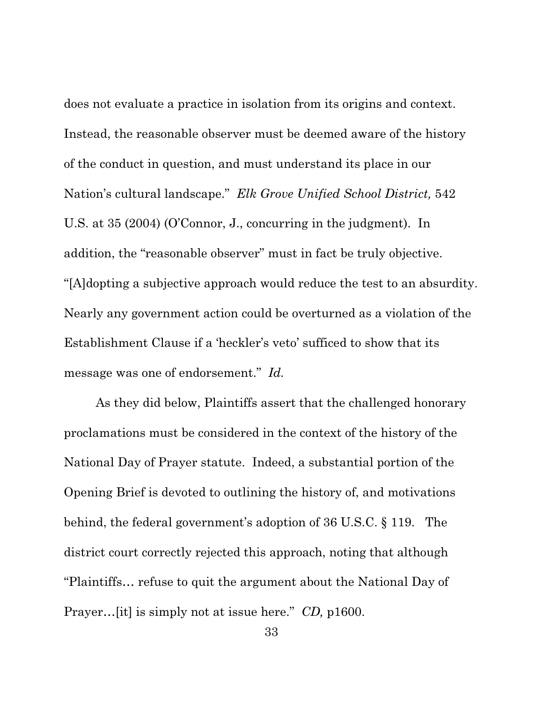does not evaluate a practice in isolation from its origins and context. Instead, the reasonable observer must be deemed aware of the history of the conduct in question, and must understand its place in our Nation's cultural landscape." *Elk Grove Unified School District,* 542 U.S. at 35 (2004) (O'Connor, J., concurring in the judgment). In addition, the "reasonable observer" must in fact be truly objective. "[A]dopting a subjective approach would reduce the test to an absurdity. Nearly any government action could be overturned as a violation of the Establishment Clause if a 'heckler's veto' sufficed to show that its message was one of endorsement." *Id.*

As they did below, Plaintiffs assert that the challenged honorary proclamations must be considered in the context of the history of the National Day of Prayer statute. Indeed, a substantial portion of the Opening Brief is devoted to outlining the history of, and motivations behind, the federal government's adoption of 36 U.S.C. § 119. The district court correctly rejected this approach, noting that although "Plaintiffs… refuse to quit the argument about the National Day of Prayer…[it] is simply not at issue here." *CD,* p1600.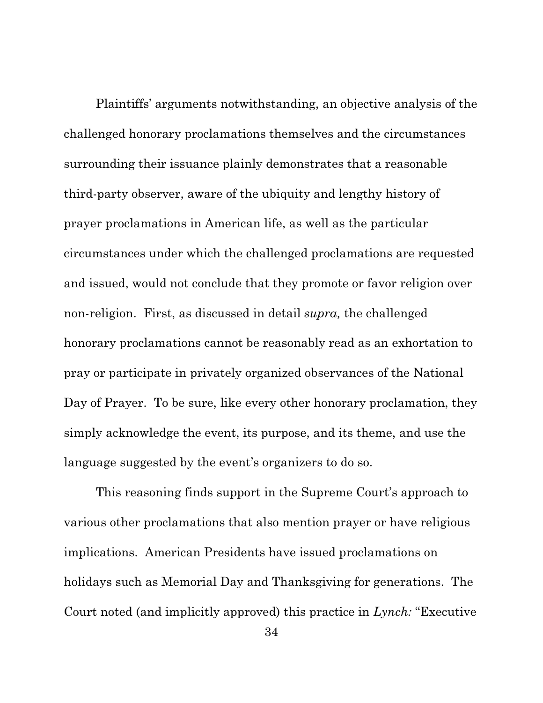Plaintiffs' arguments notwithstanding, an objective analysis of the challenged honorary proclamations themselves and the circumstances surrounding their issuance plainly demonstrates that a reasonable third-party observer, aware of the ubiquity and lengthy history of prayer proclamations in American life, as well as the particular circumstances under which the challenged proclamations are requested and issued, would not conclude that they promote or favor religion over non-religion. First, as discussed in detail *supra,* the challenged honorary proclamations cannot be reasonably read as an exhortation to pray or participate in privately organized observances of the National Day of Prayer. To be sure, like every other honorary proclamation, they simply acknowledge the event, its purpose, and its theme, and use the language suggested by the event's organizers to do so.

This reasoning finds support in the Supreme Court's approach to various other proclamations that also mention prayer or have religious implications. American Presidents have issued proclamations on holidays such as Memorial Day and Thanksgiving for generations. The Court noted (and implicitly approved) this practice in *Lynch:* "Executive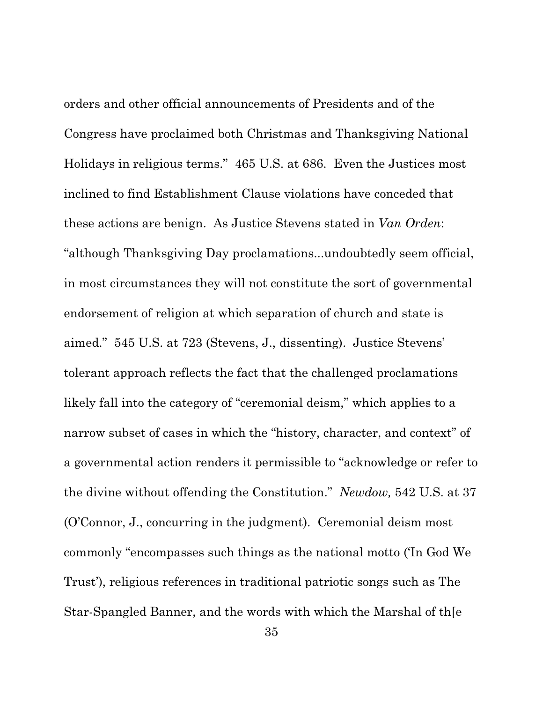orders and other official announcements of Presidents and of the Congress have proclaimed both Christmas and Thanksgiving National Holidays in religious terms." 465 U.S. at 686. Even the Justices most inclined to find Establishment Clause violations have conceded that these actions are benign. As Justice Stevens stated in *Van Orden*: "although Thanksgiving Day proclamations...undoubtedly seem official, in most circumstances they will not constitute the sort of governmental endorsement of religion at which separation of church and state is aimed." 545 U.S. at 723 (Stevens, J., dissenting). Justice Stevens' tolerant approach reflects the fact that the challenged proclamations likely fall into the category of "ceremonial deism," which applies to a narrow subset of cases in which the "history, character, and context" of a governmental action renders it permissible to "acknowledge or refer to the divine without offending the Constitution." *Newdow,* 542 U.S. at 37 (O'Connor, J., concurring in the judgment). Ceremonial deism most commonly "encompasses such things as the national motto ('In God We Trust'), religious references in traditional patriotic songs such as The Star-Spangled Banner, and the words with which the Marshal of th[e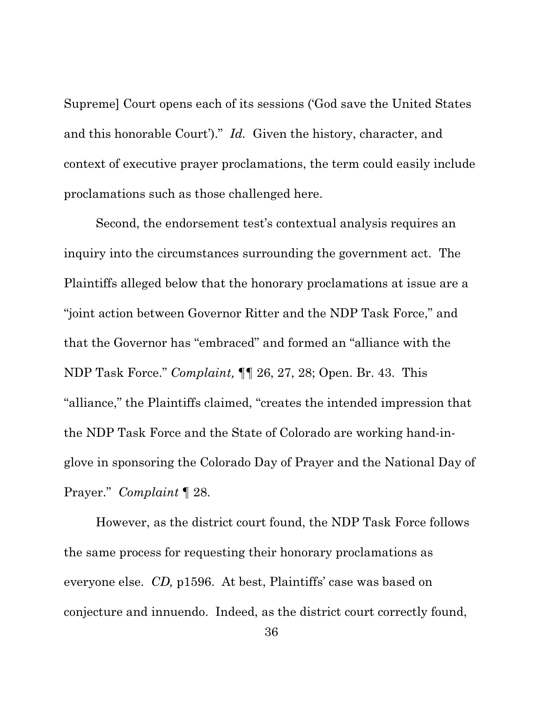Supreme] Court opens each of its sessions ('God save the United States and this honorable Court')." *Id.* Given the history, character, and context of executive prayer proclamations, the term could easily include proclamations such as those challenged here.

Second, the endorsement test's contextual analysis requires an inquiry into the circumstances surrounding the government act. The Plaintiffs alleged below that the honorary proclamations at issue are a "joint action between Governor Ritter and the NDP Task Force," and that the Governor has "embraced" and formed an "alliance with the NDP Task Force." *Complaint,* ¶¶ 26, 27, 28; Open. Br. 43. This "alliance," the Plaintiffs claimed, "creates the intended impression that the NDP Task Force and the State of Colorado are working hand-inglove in sponsoring the Colorado Day of Prayer and the National Day of Prayer." *Complaint* ¶ 28.

However, as the district court found, the NDP Task Force follows the same process for requesting their honorary proclamations as everyone else. *CD,* p1596. At best, Plaintiffs' case was based on conjecture and innuendo. Indeed, as the district court correctly found,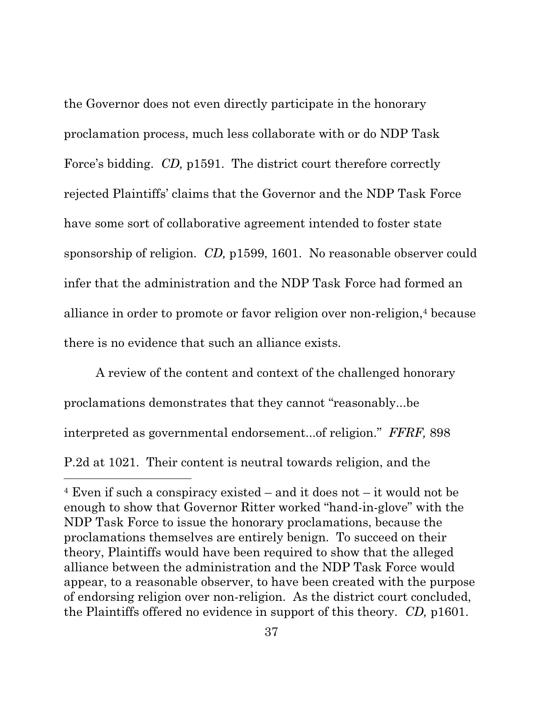the Governor does not even directly participate in the honorary proclamation process, much less collaborate with or do NDP Task Force's bidding. *CD*, p1591. The district court therefore correctly rejected Plaintiffs' claims that the Governor and the NDP Task Force have some sort of collaborative agreement intended to foster state sponsorship of religion. *CD,* p1599, 1601. No reasonable observer could infer that the administration and the NDP Task Force had formed an alliance in order to promote or favor religion over non-religion,<sup>4</sup> because there is no evidence that such an alliance exists.

A review of the content and context of the challenged honorary proclamations demonstrates that they cannot "reasonably...be interpreted as governmental endorsement...of religion." *FFRF,* 898 P.2d at 1021. Their content is neutral towards religion, and the

<sup>4</sup> Even if such a conspiracy existed – and it does not – it would not be enough to show that Governor Ritter worked "hand-in-glove" with the NDP Task Force to issue the honorary proclamations, because the proclamations themselves are entirely benign. To succeed on their theory, Plaintiffs would have been required to show that the alleged alliance between the administration and the NDP Task Force would appear, to a reasonable observer, to have been created with the purpose of endorsing religion over non-religion. As the district court concluded, the Plaintiffs offered no evidence in support of this theory. *CD,* p1601.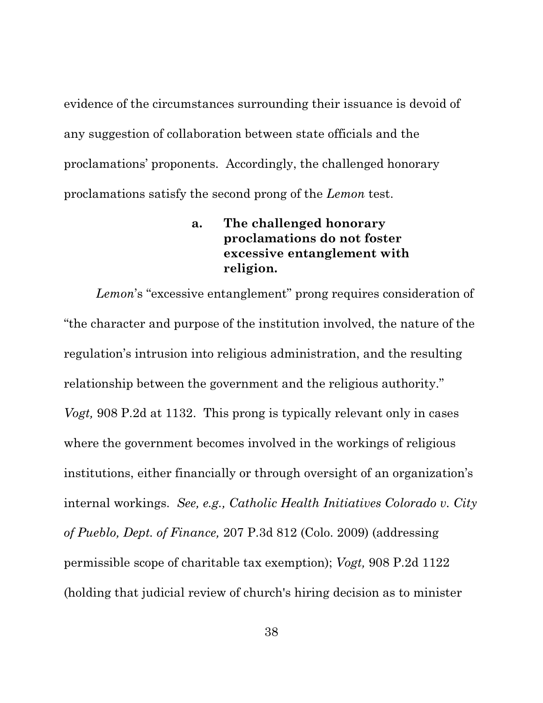evidence of the circumstances surrounding their issuance is devoid of any suggestion of collaboration between state officials and the proclamations' proponents. Accordingly, the challenged honorary proclamations satisfy the second prong of the *Lemon* test.

## **a. The challenged honorary proclamations do not foster excessive entanglement with religion.**

*Lemon*'s "excessive entanglement" prong requires consideration of "the character and purpose of the institution involved, the nature of the regulation's intrusion into religious administration, and the resulting relationship between the government and the religious authority." *Vogt,* 908 P.2d at 1132. This prong is typically relevant only in cases where the government becomes involved in the workings of religious institutions, either financially or through oversight of an organization's internal workings. *See, e.g., Catholic Health Initiatives Colorado v. City of Pueblo, Dept. of Finance,* 207 P.3d 812 (Colo. 2009) (addressing permissible scope of charitable tax exemption); *Vogt,* 908 P.2d 1122 (holding that judicial review of church's hiring decision as to minister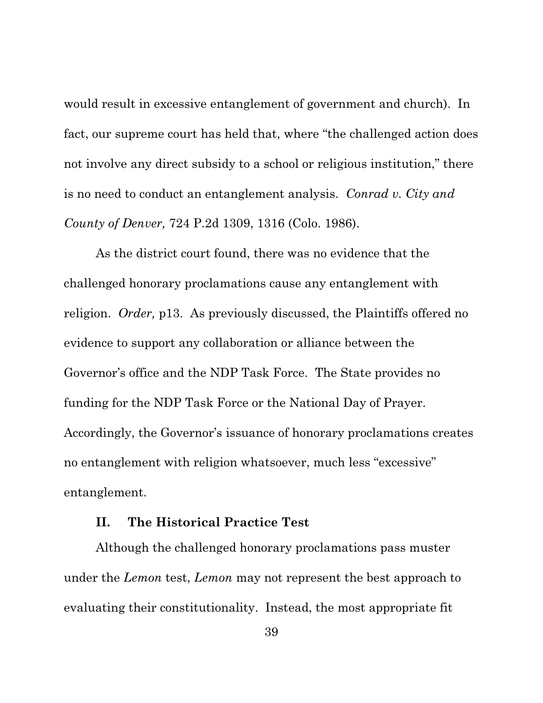would result in excessive entanglement of government and church). In fact, our supreme court has held that, where "the challenged action does not involve any direct subsidy to a school or religious institution," there is no need to conduct an entanglement analysis. *Conrad v. City and County of Denver,* 724 P.2d 1309, 1316 (Colo. 1986).

As the district court found, there was no evidence that the challenged honorary proclamations cause any entanglement with religion. *Order,* p13. As previously discussed, the Plaintiffs offered no evidence to support any collaboration or alliance between the Governor's office and the NDP Task Force. The State provides no funding for the NDP Task Force or the National Day of Prayer. Accordingly, the Governor's issuance of honorary proclamations creates no entanglement with religion whatsoever, much less "excessive" entanglement.

#### **II. The Historical Practice Test**

Although the challenged honorary proclamations pass muster under the *Lemon* test, *Lemon* may not represent the best approach to evaluating their constitutionality. Instead, the most appropriate fit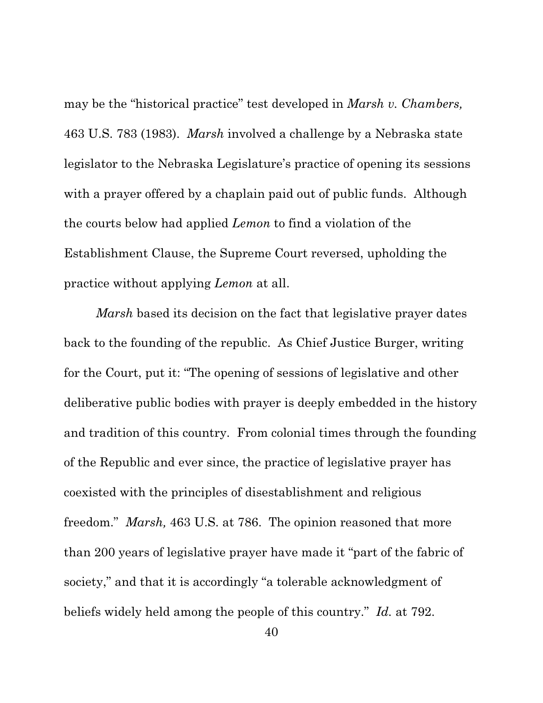may be the "historical practice" test developed in *Marsh v. Chambers,*  463 U.S. 783 (1983). *Marsh* involved a challenge by a Nebraska state legislator to the Nebraska Legislature's practice of opening its sessions with a prayer offered by a chaplain paid out of public funds. Although the courts below had applied *Lemon* to find a violation of the Establishment Clause, the Supreme Court reversed, upholding the practice without applying *Lemon* at all.

*Marsh* based its decision on the fact that legislative prayer dates back to the founding of the republic. As Chief Justice Burger, writing for the Court, put it: "The opening of sessions of legislative and other deliberative public bodies with prayer is deeply embedded in the history and tradition of this country. From colonial times through the founding of the Republic and ever since, the practice of legislative prayer has coexisted with the principles of disestablishment and religious freedom." *Marsh,* 463 U.S. at 786. The opinion reasoned that more than 200 years of legislative prayer have made it "part of the fabric of society," and that it is accordingly "a tolerable acknowledgment of beliefs widely held among the people of this country." *Id.* at 792.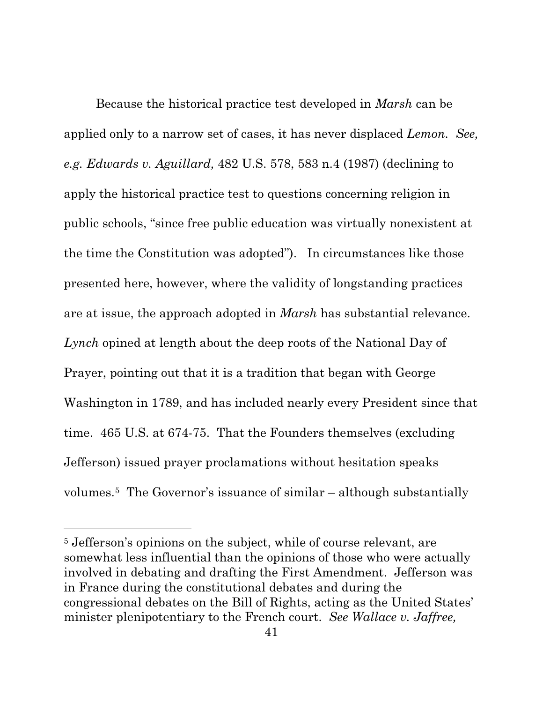Because the historical practice test developed in *Marsh* can be applied only to a narrow set of cases, it has never displaced *Lemon. See, e.g. Edwards v. Aguillard,* 482 U.S. 578, 583 n.4 (1987) (declining to apply the historical practice test to questions concerning religion in public schools, "since free public education was virtually nonexistent at the time the Constitution was adopted"). In circumstances like those presented here, however, where the validity of longstanding practices are at issue, the approach adopted in *Marsh* has substantial relevance. *Lynch* opined at length about the deep roots of the National Day of Prayer, pointing out that it is a tradition that began with George Washington in 1789, and has included nearly every President since that time. 465 U.S. at 674-75. That the Founders themselves (excluding Jefferson) issued prayer proclamations without hesitation speaks volumes.5 The Governor's issuance of similar – although substantially

<sup>5</sup> Jefferson's opinions on the subject, while of course relevant, are somewhat less influential than the opinions of those who were actually involved in debating and drafting the First Amendment. Jefferson was in France during the constitutional debates and during the congressional debates on the Bill of Rights, acting as the United States' minister plenipotentiary to the French court. *See Wallace v. Jaffree,*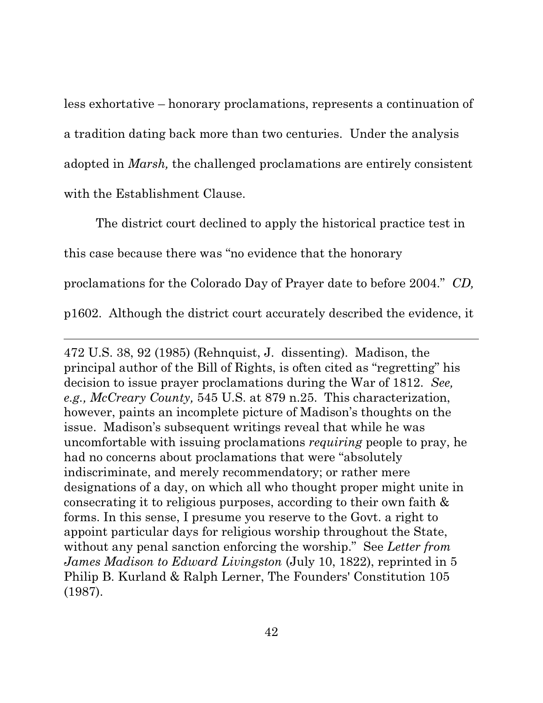less exhortative – honorary proclamations, represents a continuation of a tradition dating back more than two centuries. Under the analysis adopted in *Marsh,* the challenged proclamations are entirely consistent with the Establishment Clause.

The district court declined to apply the historical practice test in this case because there was "no evidence that the honorary proclamations for the Colorado Day of Prayer date to before 2004." *CD,*  p1602. Although the district court accurately described the evidence, it

472 U.S. 38, 92 (1985) (Rehnquist, J. dissenting). Madison, the principal author of the Bill of Rights, is often cited as "regretting" his decision to issue prayer proclamations during the War of 1812. *See, e.g., McCreary County,* 545 U.S. at 879 n.25. This characterization, however, paints an incomplete picture of Madison's thoughts on the issue. Madison's subsequent writings reveal that while he was uncomfortable with issuing proclamations *requiring* people to pray, he had no concerns about proclamations that were "absolutely indiscriminate, and merely recommendatory; or rather mere designations of a day, on which all who thought proper might unite in consecrating it to religious purposes, according to their own faith & forms. In this sense, I presume you reserve to the Govt. a right to appoint particular days for religious worship throughout the State, without any penal sanction enforcing the worship." See *Letter from James Madison to Edward Livingston* (July 10, 1822), reprinted in 5 Philip B. Kurland & Ralph Lerner, The Founders' Constitution 105 (1987).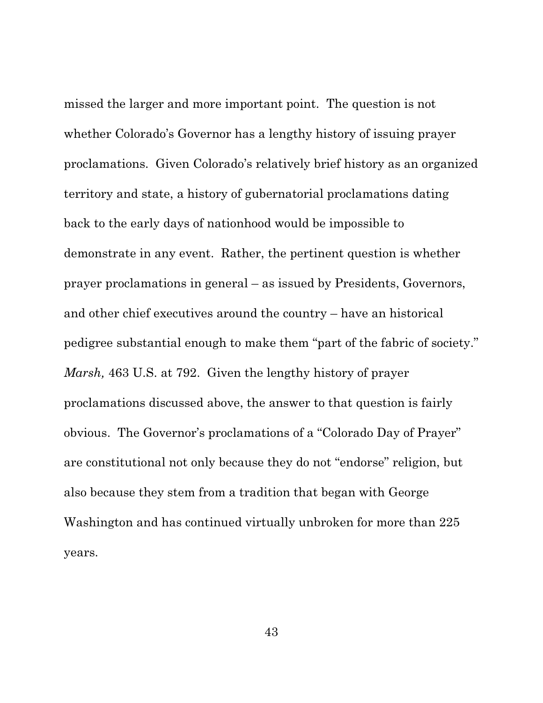missed the larger and more important point. The question is not whether Colorado's Governor has a lengthy history of issuing prayer proclamations. Given Colorado's relatively brief history as an organized territory and state, a history of gubernatorial proclamations dating back to the early days of nationhood would be impossible to demonstrate in any event. Rather, the pertinent question is whether prayer proclamations in general – as issued by Presidents, Governors, and other chief executives around the country – have an historical pedigree substantial enough to make them "part of the fabric of society." *Marsh,* 463 U.S. at 792. Given the lengthy history of prayer proclamations discussed above, the answer to that question is fairly obvious. The Governor's proclamations of a "Colorado Day of Prayer" are constitutional not only because they do not "endorse" religion, but also because they stem from a tradition that began with George Washington and has continued virtually unbroken for more than 225 years.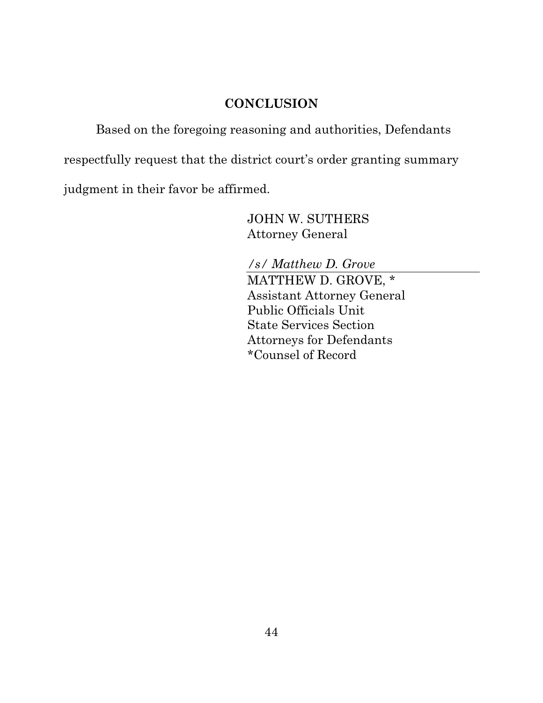## **CONCLUSION**

Based on the foregoing reasoning and authorities, Defendants

respectfully request that the district court's order granting summary

judgment in their favor be affirmed.

JOHN W. SUTHERS Attorney General

*/s/ Matthew D. Grove* MATTHEW D. GROVE, \* Assistant Attorney General Public Officials Unit State Services Section Attorneys for Defendants \*Counsel of Record